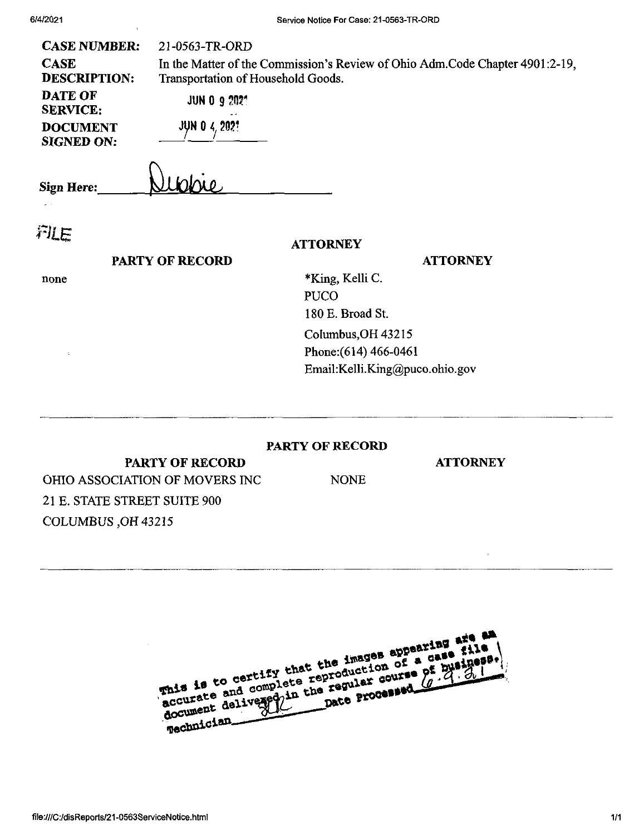| <b>CASE NUMBER:</b><br><b>CASE</b><br><b>DESCRIPTION:</b><br><b>DATE OF</b><br><b>SERVICE:</b><br><b>DOCUMENT</b><br><b>SIGNED ON:</b> | 21-0563-TR-ORD<br>Transportation of Household Goods.<br><b>JUN 0 9 2021</b><br><b>JUN 0 4, 2021</b> | In the Matter of the Commission's Review of Ohio Adm.Code Chapter 4901:2-19,  |
|----------------------------------------------------------------------------------------------------------------------------------------|-----------------------------------------------------------------------------------------------------|-------------------------------------------------------------------------------|
| <b>Sign Here:</b>                                                                                                                      |                                                                                                     |                                                                               |
| FILE                                                                                                                                   | <b>PARTY OF RECORD</b>                                                                              | <b>ATTORNEY</b><br><b>ATTORNEY</b>                                            |
| none                                                                                                                                   |                                                                                                     | *King, Kelli C.<br><b>PUCO</b><br>180 E. Broad St.                            |
| ÷                                                                                                                                      |                                                                                                     | Columbus, OH 43215<br>Phone: (614) 466-0461<br>Email:Kelli.King@puco.ohio.gov |
|                                                                                                                                        |                                                                                                     |                                                                               |

## **PARTY OF RECORD**

NONE

**ATTORNEY**

 $\bar{z}$ 

PARTY OF RECORD OHIO ASSOCIATION OF MOVERS INC 21 E. STATE STREET SUITE 900 COLUMBUS ,OH 43215

| This is to certify that the images appearing are an<br>accurate and complete reproduction of a gase file<br>document delivered in the regular course pr business.<br>Technician |  |
|---------------------------------------------------------------------------------------------------------------------------------------------------------------------------------|--|
|---------------------------------------------------------------------------------------------------------------------------------------------------------------------------------|--|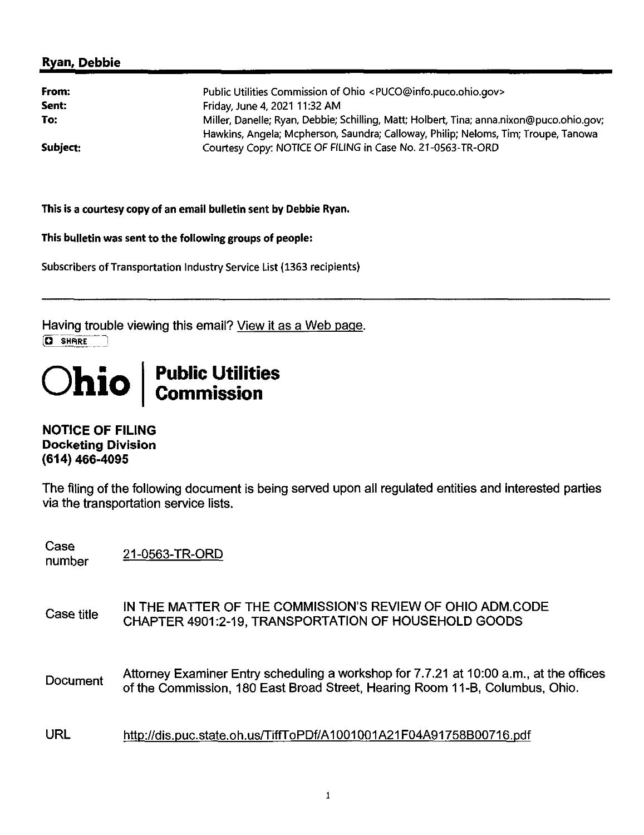## **Ryan, Debbie**

| From:    | Public Utilities Commission of Ohio <puco@info.puco.ohio.gov></puco@info.puco.ohio.gov>                                                                                        |  |
|----------|--------------------------------------------------------------------------------------------------------------------------------------------------------------------------------|--|
| Sent:    | Friday, June 4, 2021 11:32 AM                                                                                                                                                  |  |
| To:      | Miller, Danelle; Ryan, Debbie; Schilling, Matt; Holbert, Tina; anna.nixon@puco.ohio.gov;<br>Hawkins, Angela; Mcpherson, Saundra; Calloway, Philip; Neloms, Tim; Troupe, Tanowa |  |
| Subject: | Courtesy Copy: NOTICE OF FILING in Case No. 21-0563-TR-ORD                                                                                                                     |  |

**This is a courtesy copy of an email bulletin sent by Debbie Ryan.**

**This bulletin was sent to thefollowing groups of people:**

Subscribers of Transportation Industry Service List (1363 recipients)

Having trouble viewing this email? View it as a Web page.  $\overline{Q}$  **SHARE** 

## **Ohio Public Utilities Commission**

**NOTICE OF FILING Docketing Division (614) 466-4095**

The filing of the following document is being served upon all regulated entities and interested parties via the transportation service lists.

Case<br>number 21-0563-TR-ORD

- Case title IN THE MATTER OF THE COMMISSION'S REVIEW OF OHIO ADM.CODE CHAPTER 4901:2-19, TRANSPORTATION OF HOUSEHOLD GOODS
- Document Attorney Examiner Entry scheduling a workshop for 7.7.21 at 10:00 a.m., at the offices of the Commission, 180 East Broad Street, Hearing Room 11-B, Columbus, Ohio.
- URL http://dis.puc.state.oh.us/TiffToPDf/A1001001A21F04A91758B00716.pdf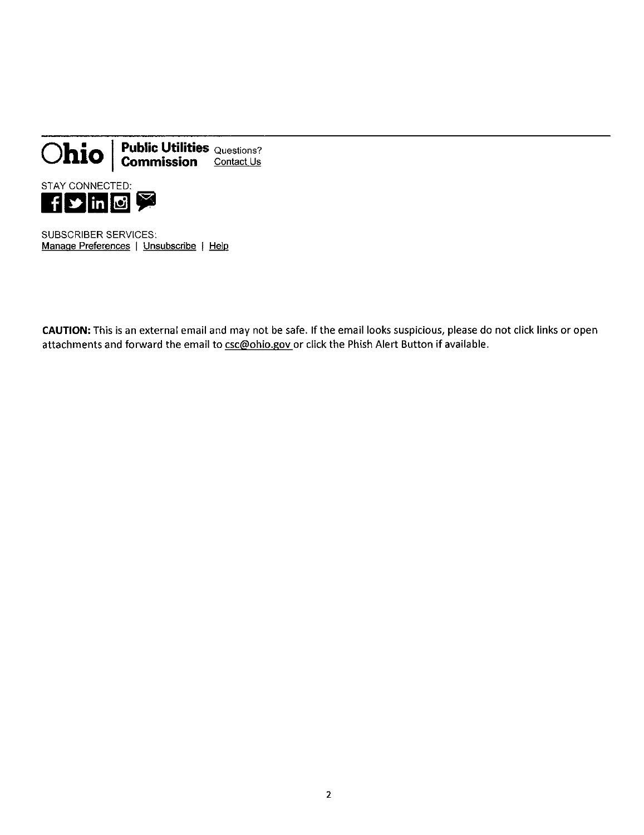

SUBSCRIBER SERVICES; Manage Preferences | Unsubscribe | Help

CAUTION: This is an external email and may not be safe. If the email looks suspicious, please do not click links or open attachments and forward the email to csc@ohio.gov or click the Phish Alert Button if available.

 $\overline{2}$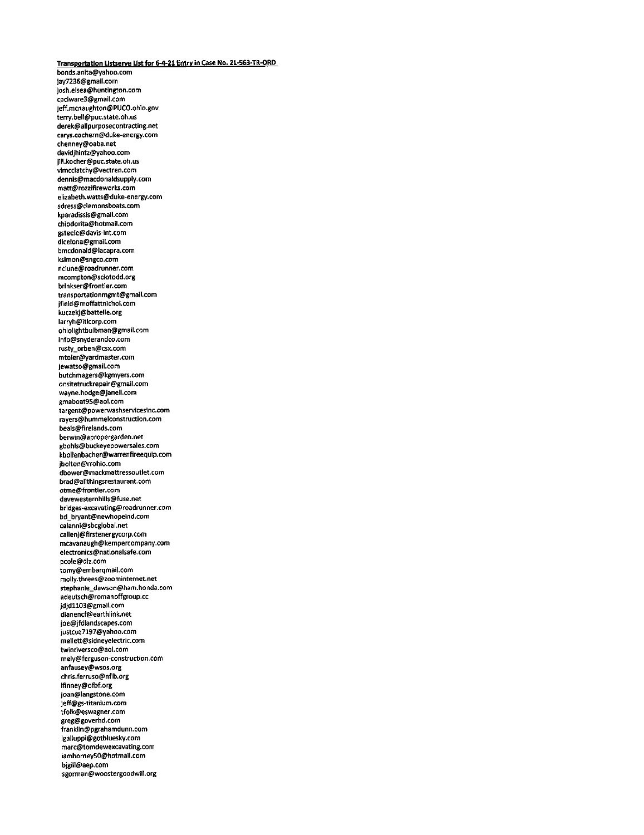**Transportation LIstserve listfor 6-4-21 Entry In Case No. 21-563-TR-ORD** bonds.anita@yahoo.com jay7236@gmail.com josh.elsea@huntington.com cpciware3@gmall.com jeff.mcnaughton@PUCO.ohio.gov terry.bell@puc.state.oh.us derek@allpurposecontracting.net carys.cochern@duke-energy.com chenney@oaba.net davidjhintz@yahoo.com jill.kocher@puc.state.oh.us vimcclatchy@vectren.com dennis@macdonaldsupply.com matt@rozzifireworks.com elizabeth.watts@duke-energy.com sdress@clemonsboats.com kparadissis@gmail.com chiodorita@hotmail.com gsteele@davis-int.com dlcelona@gmaii.com bmcdonald@lacapra.com ksimon@sngco.com nclune@roadrunner.com mcompton@sciotodd.org brinkser@frontier.com transportationmgmt@gmail.com jfield@moffattnichol.com kuczekj@battelle.org larryh@itlcorp.com ohlolightbulbman@gmail.com info@snyderandco.com rusty\_orben@csx.com mtoier@yardmaster.com jewatso@gmail.com butchmagers@kgmyers.com onsitetruckrepair@gmail.com wayne.hodge@jdnell.com gmaboat95@aol.com targent@powerwashservicesinc.com rayers@hummelconstruction.com bea1s@fireiands.com berwin@apropergarden.net gbohls@buckeyepowersales.com kboilenbacher@warrenfireequtp.com jboiton@rrohio.com dbower@mackmattressoutlet.com brad@allthingsrestaurant.com otme@frontier.com davewesternhiils@fuse.net bridges-excavating@roadrunner.com bd\_bryant@newhopeind.com calanni@sbcgiobai.net cailenj@firstenergycorp.com mcavanaugh@kempercompany.com electronics@nationalsafe.com pcole@dlz.com tomy@embarqmail.com moily.threes@zoominternet.net stephanie\_dawson@ham.honda.com adeutsch@romanoffgroup.cc jdjdll03@gmaii.com dianencf@earthlink.net joe@jfdlandscapes.com justcuz7197@yahoo.com me1lett@sidneyelectric.com twinriversco@aol.com mely@ferguson-construction.com anfausey@wsos.org chris.ferruso@nfib.org ifinney@ofbf.org joan@iangstone.com jeff@gs-titanium.com tfolk@eswagner.com greg@goverhd.com franklin@pgrahamdunn.com lgalluppi@gotbluesky.com marc@tomdewexcavating.com iamhomey50@hotmaii.com bjgil1@aep.com sgorman@woostergoodwil1.org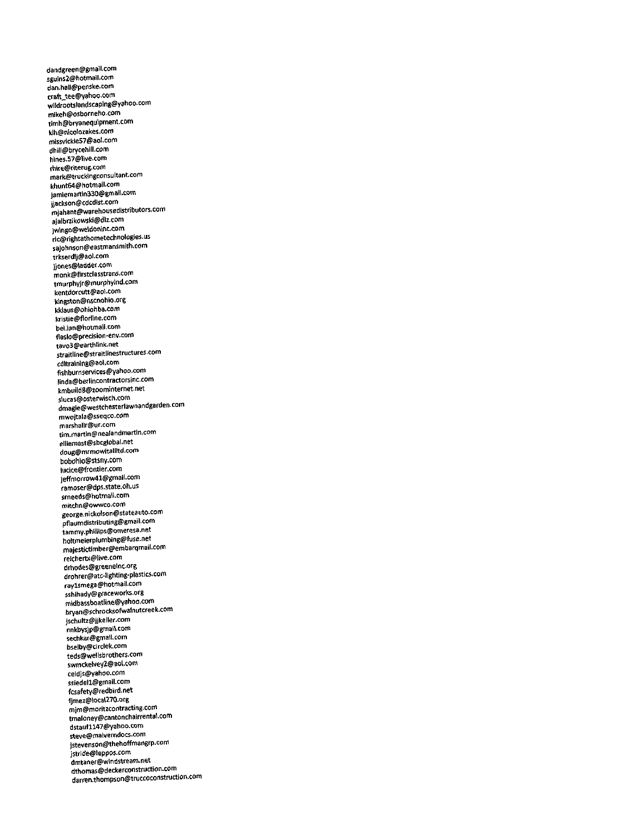dandgreen@gmail.com sguins2@hotmail.com dan.hall@penske.com craft\_tee@yahoo.com wildrootslandscaping@yahoo.com mikeh@osborneho.com timh@bryanequipment.com Wh@nicolozakes.com missvickie57@aol.com dhiil@brycehill.com hines.57@live.com rhire@riterug.com mark@truckingconsultant.com khunt64@hotmail.com jamiemartin350@gmail.com jjackson@cdcdist.com mjahant@warehousedistributors.com ajalbrzikowski@dlz.com )win|0@weldoninc.com ric@rightathometechnologles.us sajohnson@eastmansmith.com trkserdlj@aol.com j)ones@ladder.com monk@firstclasstrans.com tmurphyjr@mutphyind.com kentdorcutt@aoi.com Wngston@nscnohio.org kklaus@ohiohba.com kristie@fiorline.com bei.lan@hotmall.com flaslo@precision\*env.com tavo3@earthlink.net straitline@straitlinestructures.com cdltraining@aol.com fishburnservices@yahoo.com linda@berlincontractorsinc.com kmbuild8@zoominternet.net slucas@esterwisch.com dmagie@westchesterlawnandgarden.com mwojtala@sseqco.com marshallr@ur.com tim.martin@nealandmartin.com elliemast@sbcglobal.net doug@mrmowitallltd.com bobohio@stsny.com luctce@frontier.com jeffmorrow41@gmail.com ramoser@dps.state.oh.us srneeds@hotmait.com mitchn@owwco.com george.nickolson@stateauto.com pflaumdistributing@gmall.com tammy.phitiips@omeresa.net holtmeierplumbing@fuse.net majestictimber@embarqmail.com reichertx@live.com drhodes@greenelnc.org drohrer@atc-lightlng-plastics.com raylsmega@hotmail.com sshihady@graceworks.org midbassboatline@yahoo.com bryan@schrocksofwalnutcreek.com jschultz@Jjkeller.com nnkbysjp@gmail.com sechkar@gmail.com bselby@circlek.com teds@wellsbrothers.com swmckelvev2@aot.com celdjs@Yahoo.com ssiedell@gmail.com fcsafety@redbird.net fjmei@local270.org mlm@moritzcontracting.com tmaloney@cantonchairrental.com dstaufll47@yahoo.com steve@malverndocs.com jstevenson@thehoffmangrp.com jstride@leppos.com dmtanef@windstr6am.net dthomas@deckerconstruction.com darren.thompson@truccoconstruction.com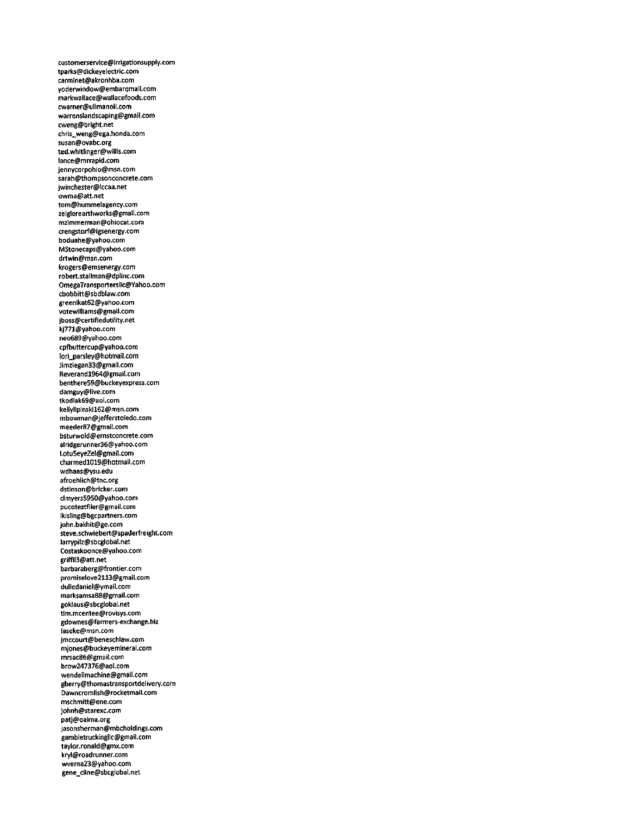customerservice@irrigationsupply.com tparks@dickeyelectric.com catminet@akronhba.com yoderwindow@embarqmail.com markwaliace@wallacefoods.com cwarner@ulimanoil.com warrenslandscaping@gmail.com cweng@bright.net chris\_weng@ega.honda.com susan@ovabc.org ted.whitlinger@willis.com lance@mrrapid.com jennycorpohio@msn.com sarah@thompsonconcrete.com Jwinchester@lccaa.net owma@att.net tom@hummeiagency.com zeiglerearthworks@gmail.com mzimmerman@ohiocat.com crengstorf@igsenergy.com boduahe@yahoo.com MStonecaps@yahoo.com drtwin@msn.com krogers@emsenergy.com robert.stailman@dplinc.com OmegaTransportersilc@Yahoo.com cbobbitt@sbdblaw.com greenikat62@yahoo.com votewiliiams@gmail.com jboss@certifiedutility.net kJ771@vahoo.com neo689@Yahoo.com cpfbuttercup@yahoo.com lori\_parsley@hotmail.com Jimziegan33@gmail,com Reverandl964@gmai1.com benthereS9@buckeyexpress.com damguy@live.com tkodiak69@aoi.com keilylipinskil62@msn.com mbowman@Jefferstoiedo.com meeder87@gmail.com bsturwold@ernstconcrete.com alridgerunner36@yahoo.com Lotu5eyeZel@gmail.com charmedl019@hotmail.com wdhaas@ysu.edu afroehlich@tnc.org dstinson@bricker.com clmyers5950@yahoo.com pucotestfiler@gmaii.com ikisling@bgcpartners.com john.bakhit@ge.com steve.schwiebert@spaderfreight.com larrypilz@sbcglobal.net Costaskoonce@yahoo.com griffil3@att,net barbaraberg@frontler.com promiselove2113@gmai1.com duliedaniel@ymail.com marksamsa88@gmail.com gokiaus@sbcg1obai.net tim.mcentee@rovisys.com gdownes@farmers-exchange.biz iaseke@msn.com jmccourt@beneschlaw.com mJones@buckeYemineral.com mrsac86@gmaii.com brow247376@aol.com wende11machine@gmail.com gberrv@thomastransportdeiivery.com Dawncromlish@rocketmail.com mschmitt@ene.com johnh@starexc.com patj@oaima.org Jasonsherman@mbcholdings.com gambietruckinglic@gmail.com taylor.ronald@gmx.com kryl@roadrunner.com wverna23@yahoo.com gene\_cline@sbcglobai.net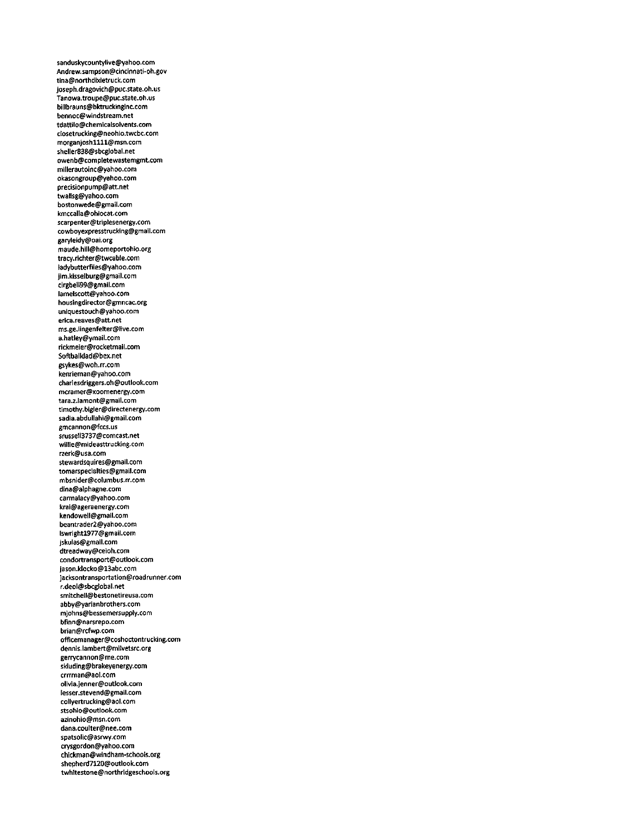sanduskycountylive@yahoo.com Andrew.sampson@cincinnati-oh.gov tina@northdixietruck.com joseph.dragovich@puc.state.oh.us Tanowa.troupe@puc.state.oh.us billbrauns@bktruckinginc.com bennoc@windstream.net tdattiio@chemicalsolvents.com closetrucking@neohio.twcbc.com morganjoshllll@msn.com sheller838@sbcglobal.net owenb@completewastemgmt.com millerautoinc@yahoo.com okasongroup@yahoo.com precisionpump@att.net twallsg@yahoo.com bostonwede@gmail.com kmccalia@ohiocat.com scarpenter@triplesenergy.com cowboyexpresstrucking@gmail.com garyleidy@oai.org maude.hill@homeportohio.org tracy.richter@twcable.com ladybutterflies@yahoo.com jim.kisselburg@gmail.com clrgbeil39@gmail.com lamelscott@yahoo.com housingdirector@gmncac.org uniquestouch@yahoo.com erica.reaves@att.net ms.ge.lingenfelter@live.com a.hatley@ymail.com rickmeier@rocketmail.com Softballdad@bex.net gsykes@woh.rr.com kenrieman@yahoo.com chariesdriggers.oh@outiook.com mcramer@xoomenergy.com tara.z.lamont@gmail.com timothy.bigler@directenergy.com sadla.abdullahi@gmail.com gmcannon@fccs.us srussell3737@comcast.net willie@mideasttrucking.com rzerk@usa.com stewardsquires@gmail.com tomdrspecialties@gmail.com mbsnider@columbus.rr.com dina@aiphagne.com carmalacy@yahoo.com krai@ageraenergy.com kendowell@gmail.com beantrader2@yahoo.com lswrightl977@gmail.com jskuias@gmail.com dtreadway@ceioh.com condortransport@outiook.com jason.klocko@13abc.com jacksontransportation@roadrunner.com r.deol@sbcglobal.net smitchell@bestonetireusa.com abby@yarianbrothers.com mjohns@bessemersupply.com bfinn@narsrepo.com brian@rcfwp.com officemanager@coshoctontrucking.com dennis.lsmbert@milvetsrc.org gerrycannon@me.com skluding@brakeyenergy.com crrrman@aol.com olivia.jenner@outlook.com lesser.stevend@gmail.com coilyertrucking@aol.com stsohio@outiook.com azinohio@msn.com dana.coulter@nee.com spatsolic@asrwy.com crYsgordon@yahoo.com chickman@windham-schools.org shepherd7120@outlook.com twhitestone@northrldgeschools.org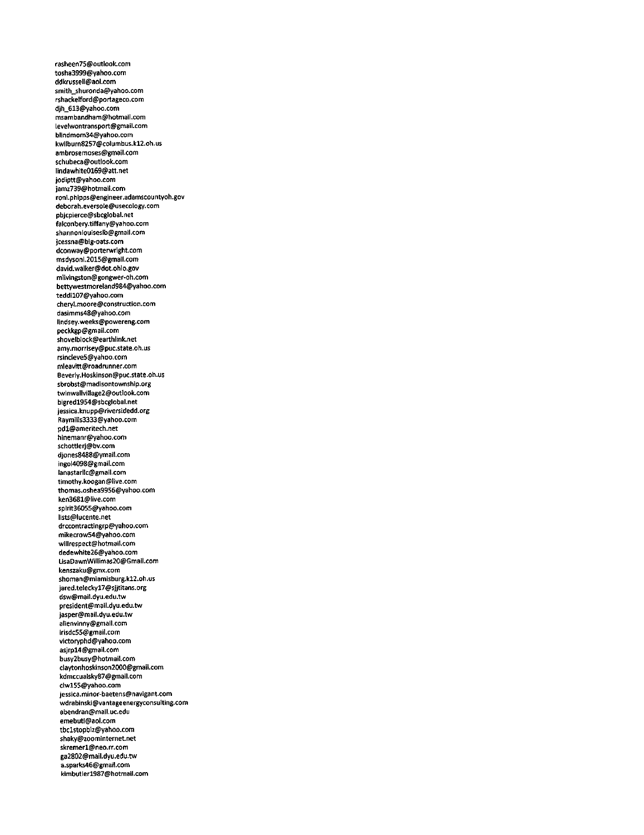rasheen75@outlook.com tosha3999@yahoo.com ddkrussell@aol.com smith\_shuronda@yahoo.com rshackelford@portageco.com djh\_613@yahoo.com msambandham@hotmall.com levelwontransport@gmail.com blindmom34@yahoo.com kwilburn8257@columbus.kl2.oh.us ambrosemoses@gmail.com schubeca@outiook.com Iindawhite0169@att.net jodiptt@yahoo.com jamz739@hotmait.com roni.phipps@engineer.adamscountyoh.gov deborah.eversole@usecology.com pbjcpierce@sbcglobal.net falconbery.tiffany@yahoo.com shannoniouiseslb@gmail.com jcessna@big-oats.com dconway@porterwright.com msdysoni.2015@gmail.com david.walker@dot.ohio.gov mlivingston@gongwer-oh.com bettywestmoreland984@yahoo.com teddil07@yahoo.com cheryl.moore@construction.com dasimms48@yahoo.com lindsey.weeks@powereng.com peckkgp@gmaii.com shovelblock@earthiink.net amy.morrisey@puc,state.oh.us rsincleve5@yahoo.com mleavitt@roadrunner.com 6everiy.Hoskinson@puc.state.oh.us sbrobst@madisontownship.org twinwalivillage2@outlook.com bigredl954@sbcglobal.net jessica.knupp@riversidedd.org Raymiils3333@yahoo.com pdl@ameritech.net hinemanr@yahoo.com schottlerj@bv.com djones8488@ymai1.com ingoi4098@gmaii.com lanastarilc@gmail.com timothy.koogan@live.com thomas.oshea9956@yahoo.com ken3681@iive.com spirit36055@yahoo.com lists@lucente.net drccontractingrp@yahoo.com mikecrow54@yahoo.com wiilrespect@hotmai1.com dedewhite26@yahoo.com LisaDawnWiilimas20@Gmaii.com kenszaku@gmx.com shoman@miamisburg.kl2.oh.us jared.teleckyl7@sjjtitans.org dsw@mal1.dyu.edu.tw president@maii.dyu.edu.tw jasper@mai1.dyu.edu.tw alienvinny@gmail.com irisdc55@gmaii.com victoryphd@yahoo.com asjrpl4@gmail.com busy2busy@hotmail.com ciaytonhoskinson2000@gmail.com kdmccualsky87@gmail.com clwl55@yahoo.com jessica.minor-baetens@navigant.com wdrabinski@vantageenergyconsuiting.com abendran@mail.uc.edu emebuti@aol.com tbclstopbiz@yahoo.com shaky@zoominternet.net skremerl@neo.rr.com ga2802@mail.dyu.edu.tw a.sparks46@gmail.com kimbutierl987@hotmail.com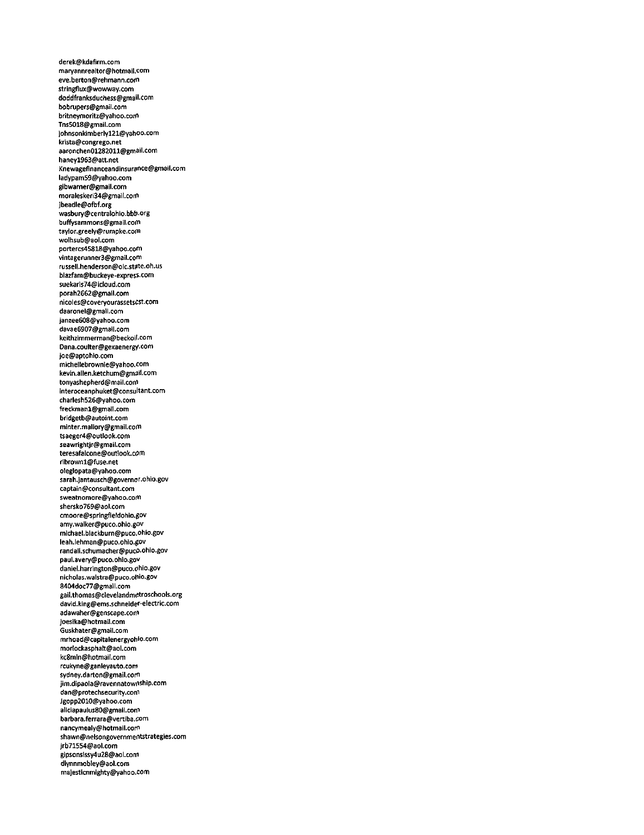derek@kdafirm.com maryannrealtor@hotmaii.com eve.berton@rehmann.com stringflux@wowway.com doddfranksduchess@gmail-Com bobrupers@gmail.com britneymoritz@yahoo.com Tns5018@gmail.com lohnsonkimberlyl21@yahoo.com krista@congrego.net aaronchen01282011@gmail.com haneyl963@att.net Knewagefinanceandlnsurance@gmail.com ladypam59@yahoo.com gibwamer@gmail.com moraleskeri34@grnaii.com jbeadie@ofbf.org wasbury@centralohio.bbb.org buffysammons@grnail.com tayior.greely@rumpke.com woihsub@aoi.com portercs45818@yahoo.com vintagerunner3@gmail.com russeli.henderson@oic.state.oh.us biazfam@buckeye-expresscom suekaris74@icloud.com porah2662@gmail.com nicoies@coveryourassetsCSt.com daaronei@gmaii.com janzee608@yahoo.com davae6907@gmaii.com keithzimmerman@beckoil.com Dana.coulter@gexaenergy.com Joe@aptohlo.com micheilebrownie@yahoo.com kevin.ailen.ketchum@gmdil.com tonyashepherd@maii.com interoceanphuket@consuitant.com chariesh526@yahoo.com freckmanl@gmail.com bridgetb@autoint.com minter.mallory@gmaii.com tsaeger4@outlook.com seawrightjr@gmaii.com teresafaicone@out1ook.e0m rlbrownl@fuse.net oleglopata@yahoo.com sarah.jantausch@governor.ohio.gov captain@consuitant.com sweatnomore@yahoo.com shersko769@aol.com cmoore@springfteldohio.gov amy.waiker@puco.ohio.gOV michael.biackburn@puco.ohio.gov leah.iehman@puco.ohio.gov randail.schumacher@puco.ohio.gov paui.avery@puco.ohio.gov daniei.harrington@puco.ohio.gov nicholas.waistra@puco.ohio.gov 8404doc77@gmaii.com gail.thomas@cleveiandmetroschools.org david.king@ems.schneider-electric.com adawaher@genscape.com joesika@hotmail.com Guskhater@gmaii.com mrhoad@capitaienergyohio.com morlockasphatt@aoi.com kc8min@hotmail.com rcukyne@ganieyauto.com sydney.darton@gmail.com jim.dipaoia@ravennatownship.com dan@protechsecurity.com Jgopp2010@yahoo.com aiiciapauius80@gmaii.com barbara.ferrara@vertiba.com nancymealy@hotmaii.com shawn@nelsongovernmentstrategies.com jrb71554@aoi.com gipsonsissy4u28@aoi.com dlynnmob1ey@aol.com majesticnmighty@yahoo.com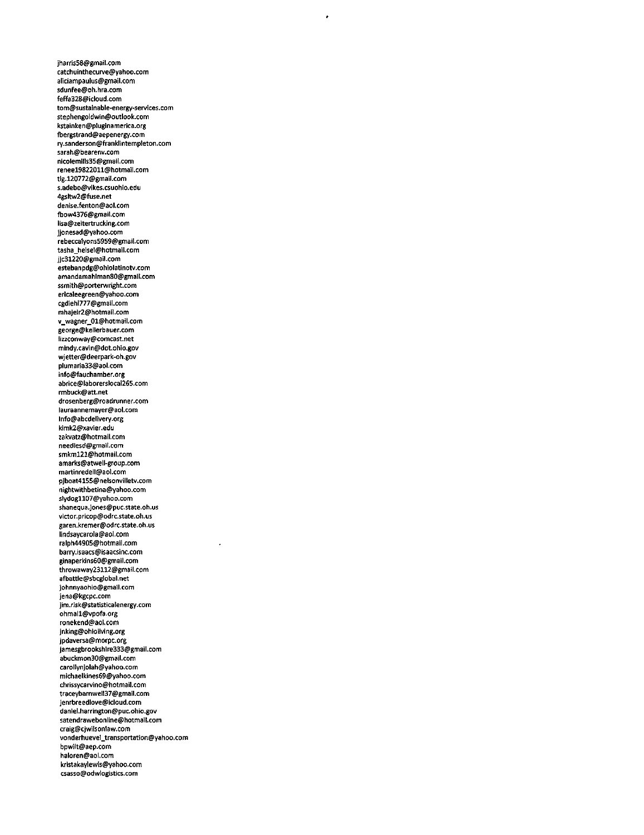jharris58@gmail.com catchuinthecurve@yahoo.com aliciampaulus@gmail.com sdunfee@oh.hra.com feffa328@icloud.com tom@sustainable'energv-services.com stephengoldwin@outlook.com kstainken@pluginamerica.org fbergstrand@aepenergy.com rv.sanderson@franklintempleton.com sarah@bearenv.com nicolemills35@gmail.com reneel9822011@hotmail.com tlg.120772@gmail.com s.adebo@vikes.csuohio.edu 4gsltw2@fuse.net denise.fenton@aol.com fbow4376@gmaii.com lisa@zeitertrucking.com jjonesad@yahoo.com rebeccaiyons5959@gmail.com tasha\_heisei@hotmail.com jjc31220@gmail.com estebanpdg@ohiolatinotv.com amandamahlmanSO@gmail.com ssmith@porterwright.com ericaieegreen@yahoo.com cgdiehl777@gmail.com mhajeir2@hotmaii.com v\_wagner\_01@hotmail.com george@kellerbauer.com lizzconway@comcast.net mindy.cavin@dot.ohio.gov wjetter@deerpark-oh.gov plumaria33@aol.com info@fauchamber.org abrice@laborerslocai265.com rmbuck@att.net drosenberg@roadrunner.com lauraannemayer@aol.com lnfo@abcdelivery.org kimk2@xavier.edu zakvatz@hotmail.com needlesd@gmail.com smkml21@hotmail.com 3marks@atwell-gr0up.com martinredell@aoi.com pjboat4155@nel\$onvilletv.com nightwithbetina@yahoo.com siydog1107@yahoo.com shanequa.jones@puc.state.oh.us victor.pricop@odrc.state.oh.us garen.kremer@odrc.state.oh.us lindsaycarola@aol.com ralph44905@hotmail.com barrY.isaacs@isaacsinc.com ginaperkins60@gmail.com throwawaY23112@gmail.com afbattle@sbcglobal.net johnnyaohio@gmail.com jena@kgcpc.com jim.risk@statisticalenergy.com ohmall@vpofa.org ronekend@aol.com jnking@ohioliving.org jpdaversa@morpc.org jamesgbrookshire333@gmail.com abuckmon30@gmail.com carollynjolah@yahoo.com michaelkines69@yahoo.com chrissycarvino@hotmaiI.com traceybamwell37@gmail.com jenrbreedlove@icloud.com daniel.harrington@puc.ohio.gov satendrawebonline@hotmail.com craig@cjwilsonlaw.com vonderhuevei\_transportation@yahoo.com bpwilt@3ep.com haloren@aol.com kristakaYlewis@yahoo.com csas50@odwlogistics.com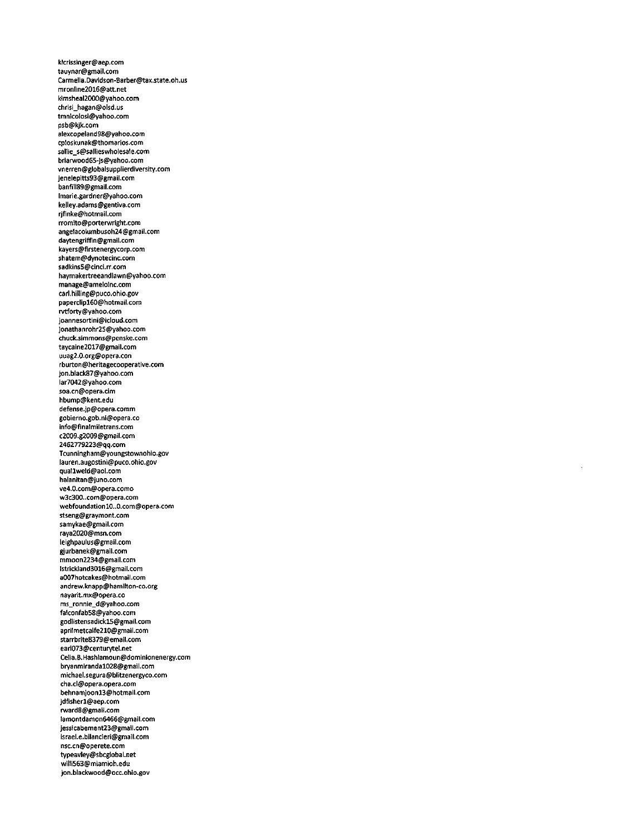klcrisslnger@aep.com tauynar@gmail.com Carmella.Davidson-6arber@tax.state.oh.us mronline2016@att.net kimsheal2000@yahoo.com chrisi\_hagan@olsd.us tmnicoiosi@yahoo.com psb@kjk.com alexcopeland98@yahoo.com cploskunak@thomarios.com saliie\_s@sailieswhoiesale.com briarwood65-]s@yahoo.com vnerren@globaisupplierdiverstty.com jeneiepitts93@gmail.com banfiti89@gmail.com lmarie.gardner@yahoo.com kelley.adams@gentiva.com rjfinke@hotmaii.com rromito@porterwright.com angelacolumbusoh24@gmail.com daytengriffin@gmaii.com kayers@firstenergycorp.com shatem@dynotecinc.com sadkins5@cinci.rr.com haymakertreeandiawn@yahoo.com manage@ameioinc.com carl.hiiIing@puco.ohio.gov paperclip160@hotmail.com rvtforty@yahoo.com joannesortini@icloud.com jonathanrohr25@yahoo.com chuck.simmons@penske.com taycaine2017@gmail.com uuag2.0.org@opera.con rburton@heritagecooperative.com jon.biack87@yahoo.com Iar7042@yahoo.com soa.cn@opera.cim hbump@kent.edu defense.jp@opera.comm gobierno.gob.ni@opera.co info@fin3lmiietrans.com c2009.g2009@gmail.com 2462779223@qq.com Tcunningham@youngstownohio.gov iauren.augostini@puco.ohio.gov quallwetd@aoi.com haianitan@juno.com ve4.0.com@opera.como w3c300..com@opera.com webfoundation10..O.com@opera.com stseng@graymont.com samykae@gmail.com raya2020@msn.com leighpautus@gmail.com gjurbanek@gmaii.com mmoon2234@gmail.com Istrickland3016@gmail.com a007hotcakes@hotmail.com andrew.knapp@hamiiton-co.org nayarit.mx@opera.co ms\_ronnie\_d@yahoo.com falconfab58@yahoo.com godlistensadick15@gmail.com aprilmetcalfe210@gmaii.com starrbrite8379@email.com earl073@centurytel.net Cetia.B.Hashtamoun@dominionenergy.com bryanmirandal028@gmaii.com michael.segura@blitzenergyco.com cha.cl@opera.opera.com behnamjoonl3@hotmail.com jdfisherl@aep.com rward8@gmail.com 1amontdamon6466@gmail.com jessicabement23@gmail.com israei.e.bilancieri@gmail.com nsc.cn@operete.com typeavley@sbcgiobai.net willi563@miamioh.edu jon.biackwood@occ.ohio.gov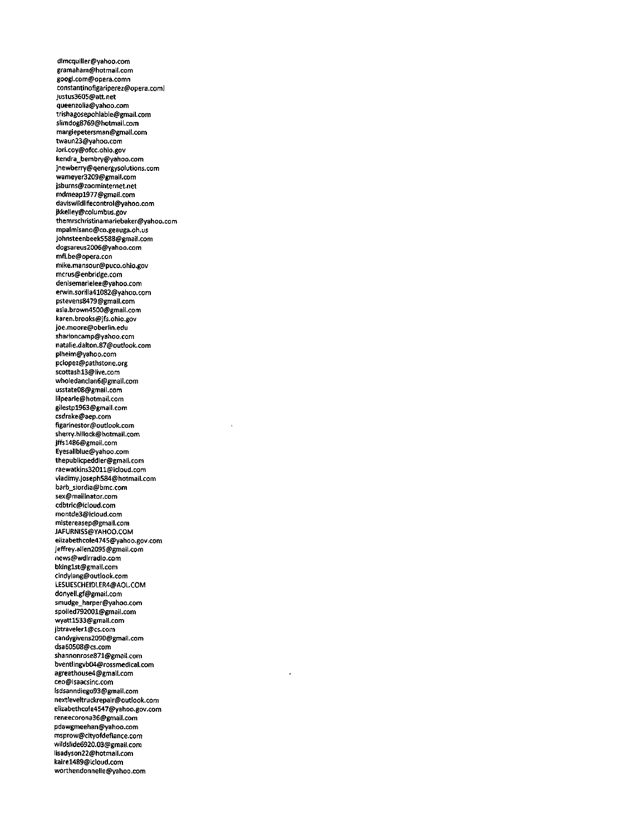dlmcquiller@yahoo.com gramaham@hotmail.com googi.com@opera.comn constantinofrgariperez@opera.coml justus3605@att.net queenzoiia@yahoo.com trishagosepohlabie@gmaii.com siimdog8769@hotmail.com margiepetersman@gmail.com twaun23@yahoo.com lori.coy@ofcc.ohio.gov kendra\_bembry@yahoo.com jnewberry@qenergysolutions.com wameyer3209@gmail.com jsburns@zoominternet.net mdmeapl977@gmail.com daviswildlifecontroi@yahoo.com jkkeliey@coiumbus.gov themrschristinamariebaker@yahoo.com mpaimisano@co.geauga.oh.us johnsteenbeek5588@gmail.com dogsareus2006@yahoo.com mfi.be@opera.con mike.mansour@puco.ohio.gov mcrus@enbridge.com denisemarieiee@yahoo.com erwin.sorllla41082@yahoo.com pstevens8479@gmail.com asia.brown4500@gmaii.com karen.brooks@jfs.ohio.gov joe.moore@oberiin.edu sharioncamp@vahoo.com natalie.dalton.87@outlook.com plheim@yahoo.com pclopez@pathstone.org scottashl3@iive.com whoiedancian6@gmaii.com usstate08@gmaii.com lilpearie@hotmaii.com giiestpl963@gmaii.com csdrake@aep.com figarinestor@outlook.com sherry.hillock@hotmail.com jffs1486@gmail.com Eyesaliblue@yahoo.com thepubiicpeddier@gmail.com raewatkins32011@icloud.com vladimy.joseph584@hotmail.com barb\_siordia@bmc.com sex@mailinator.com cdbtric@icioud.com montde3@icioud.com mistereasep@gmail.com JAFURNISS@YAHOO.COM elizabethcole4745@yahoo.gov.com jeffrey.allen2095@gmail.com news@wdirradio.com bkinglst@gmail.com cindyiang@outiook.com LESLIESCHEIDLER4@A0LC0M donyeli.gf@gmail.com smudge\_harper@yahoo.com spoiied792001@gmail.com »ryattl533@gmaii.com jbtraveierl@cs.com candygivens2090@gmaii.com dsa60508@cs.com shannonrose871@gmail.com bventiingvb04@rossmedical.com agreathouse4@gmaif.com ceo@isaacsinc.com lsdsanndiego93@gmaii.com nextleveltruckrepair@outlook.com elizabethcole4547@yahoo.gov.com reneecorona36@gmail.com pdawgmeehan@yahoo.com msprow@cityofdefiance.com wildslide6920.03@gmaii.com iisadyson22@hotmaii.com kairel489@idoud.com worthendonnelie@yahoo.com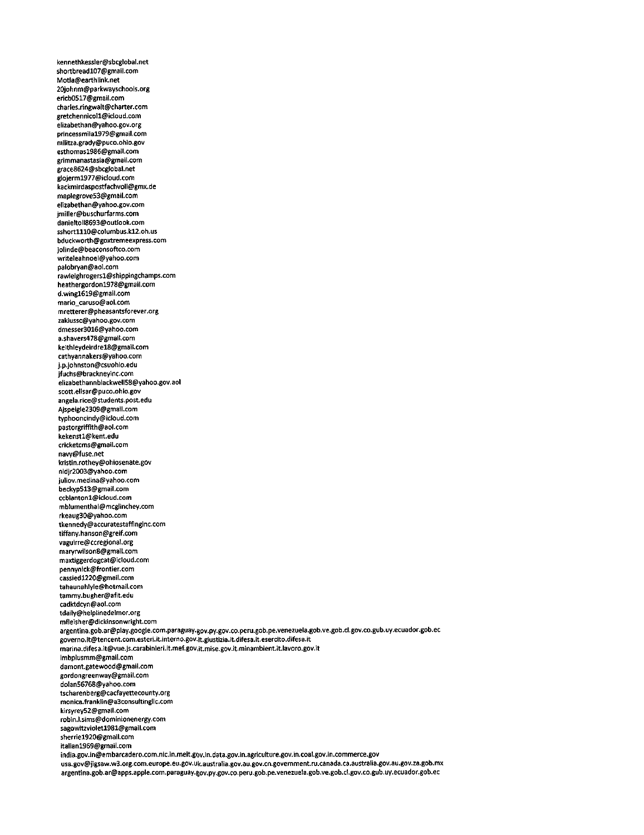kennethkessIer@sbcglobal.net shortbreadl07@gmail.com Motla@earthlink.net 20johnm@parkwayschools.org ericb0517@gmail.com charles.ringwalt@charter.com gretchennicoll@icloud.com elizabethan@yahoo.gov.org princessmila1979@gmail.com militza.grady@puco.ohio.gov esthomasl986@gmail.com grimmanastasia@gmail.com grace8624@sbcglobal.net gloJerml977@icloud.com kackmlrdaspostfachvoll@gmx.de maplegrove53@gmail.com elizabethan@yahoo.gov.com jmiller@buschurfarms.com daniettoll8693@outIook.com sshortlll0@columbus.kl2.oh.us bduckworth@goxtremeexpress.com Jolinde@beaconsoftco.com writeleahnoel@yahoo.com palobryan@aoi.com rawlelghrogersl@shippingchamps.com heathergordon1978@gmail.com<br>d.wing1619@gmail.com d.wingl619@gmail.com mario\_caruso@aol.com mretterer@pheasantsforever.org zakiussc@yahoo.gov.com dmesser3016@yahoo.com a.shavers47S@gmaii.com keithleydeirdrel8@gmail.com cathyannakers@yahoo.com j.p.johnston@csuohio.edu jfuchs@brackneyinc.com eiizabethannbiackweli58@yahoo.gov.aol scott.elisar@puco.ohio.gov angeia.rice@students.post.edu Ajspeigie2309@gmaii.com typhooncindy@icloud.com pastorgriffrth@aol.com kekenstl@kent.edu cricketcms@gmaii.com navy@fuse.net kristin.rothey@ohiosenate.gov nidjr2003@yahoo.com juliov.medina@yahoo.com beckyp513@gmail.com ccblantonl@icloud.com mblumenthai@mcgiinchey.com rkeaug30@yahoo.com tkennedy@accuratestaffinginc.com tiffany.hanson@greif.com vaguirre@ccregional.org marYrwilson8@gmail.com maxtiggerdogcat@icloud.com pennynick@frontier.com cassiedl220@gmail.com tahaunahlyie@hotmaii.com tammy.bugher@afit.edu cadktdcyn@aol.com tdaily@helplinedelmor.org mfleisher@dickinsonwright.com argentina.gob.ar@play.google.com.paraguay.gov.py.gov.co.peru.gob.pe.venezuela.gob.ve.gob.cl.gov.co.gub.uy.ecuador.gob.ee governo.it@tencent.com.esteri.it.interno.gov.it.giustizia.it.difesa.it.esercito.difesa.it marina.difesa.it@vue.js.carabinieri.it.mef.gov.it.mise.gov.it.minambient.it.lavoro.gov.it lmbplusmm@gmail.com damont.gatewood@gmail.com gordongreenway@gmaii.com dolan56768@yahoo.com tscharenberg@cacfayettecounty.org monica.franklin@a3consultinglic.com kirsyreY52@gmail.com robin.l.sims@dominionenergy.com sagowttzvioletl981@gmail.com sherriel920@gmail.com italianl969@gmaii.com india.gov.in@embarcadero.com.nic.in.meit.gov.in.data.gov.in.agriculture.gov.in.coai.gov.in.commerce.gov usa.gov@jigsaw.w3.org.com.europe.eu.gov.uk.australia.gov.au.gov.cn.government.ru.canada.ca.austraiia.gov.au.gov.za.gob.mx argentina.gob.ar@apps.apple.com.paraguay.|ov.py.gov.co.peru.gob.pe.venezuela.gob.ve.gob.cl.gov.co.gub.uy.ecuador.gob.ec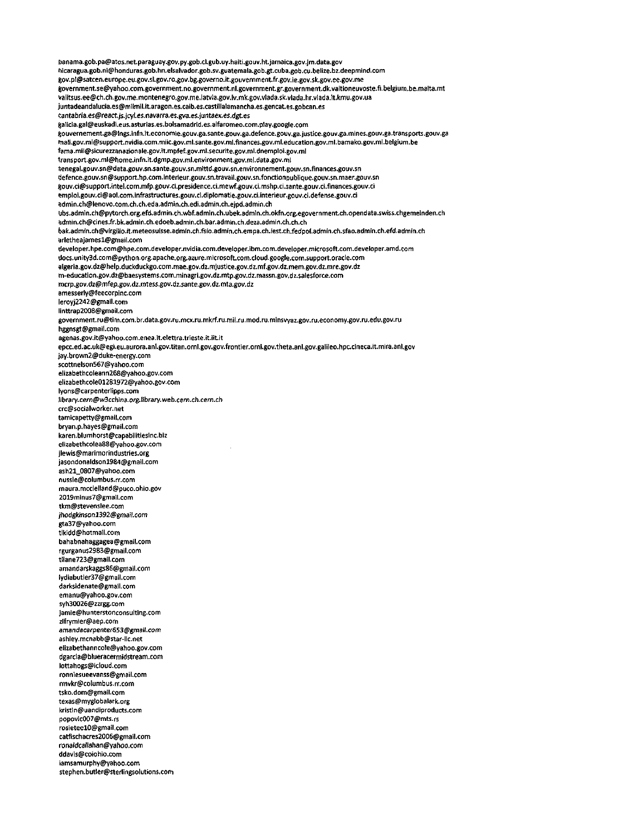Fianama.gob.pa@atos.net.paraguay.gov.py.gob.cl.gub.uv.haiti.gouv.ht.jamaica.gov.jm.data.gov hicaragua.gob.ni@honduras.gob.hn.elsalvador.gob.sv.guatemala.gob.gt.cuba,gob.cu.belize.bz.deepmind.com gov.pl@satcen.europe.eu.gov.sl.gov.ro.gov.bg.governo.it.gouvernment.fr.gov.ie.gov.sk.gov.ee.gov.me |overnment.se@yahoo.com.government.no.government.nl.government.gr.government.dk.valtioneuvoste.fi.belgium.be.matta.mt valitsus.ee@ch.ch.gov.me.montenegro.gov.me.latvia.gov.lv.mk.gov.vlada.sk.vlada.hr.viada.it.kmu.gov.ua juntadeandalucia.es@milmil.it.aragon.es.caib.e\$.casti1laiamancha.es.gencat.es.gobcan.es cantabrra.es@react.js.jcyl.es.navarra.es.gva.es.juntaex.es.dgt.es gaiicia.gal@euskadi.eus.asturias.es.bolsamadrid.es.alfaromeo.com.play.google.com gouvernement,ga@lngs.infn.it.economie.gouv.ga.sante.gouv.ga.defence.gouv.ga.justice.gouv.ga.mines.gouv.ga.tran\$ports.gouv.ga rnali.gov.ml@support.nvidia.com.miic.gov.ml.sante.gov.ml.finances.gov.ml.education.gov.ml.bamako.gov.ml.belgium.be tama.mii@\$icurezzanazionale.gov.it.mpfef.gov.ml.securite.gov.mi.dnemploi.gov.ml transport.gov.ml@home.infn.it.dgmp.gov.ml.environment.gov.ml.data.gov.ml Senegal.gouv.sn@data.gouv.sn.sante.gouv.sn.mittd.gouv.\$n.environnement.gouv.sn.finances.gouv.sn iJefence.gouv.sn@support.hp.com.interieur.gouv.sn.travaii.gouv.sn.fonctionpublique.gouv.sn.maer.gouv.sn gouv.ci@support,intel.com.mfp.gouv.ci.presidence.ci.mewf.gouv.ci.mshp.ci.sante.gouv.ci.finances.gouv.ci emploi.gouv.ci@aol.com.infrastructures.gouv.ci.diplomatie.gouv.ci.interieur.gouv.ci.defense.gouv.ci admin.ch@lenovo.com.ch.ch.eda.admin.ch.edi.admin.ch.ejpd.admin.ch ijbs.admin.ch@pytorch.org.efd.admin.ch.wbf.admin.ch.ubek.admin.ch.okfn.org,egovernment.ch.opendata.swiss.chgemeinden.ch admin.ch@cines.fr.bk.admin.ch.edoeb.admin.ch.bar.admin.ch.deza.admin.ch.ch.ch.ch bak.admin.ch@virg[fio.it.meteosuf5se.admin.ch.fsio.admin,ch.empa.ch.rest.ch.fedpoi.admin.ch.sfao.admfn.ch.efd.admin.ch arletheajamesl@gmail.com developer.hpe.com@hpe.com.developer.nvidia.com.developer.ibm.com.developer.microsoft.com.developer.amd.com docs.unity3d.com@python.org.apache.org.azure.microsoft.com.cloud.google.com.support.oracle.com algeria.gov.dz@help.duckduckgo.com.mae.gov.dz.mjustice.gov.dz.mf.gov.dz.mem.gov.dz.mre.gov.dz m-education.gov.dz@baesystems.com.minagri.gov.dz.mtp.gov.dz.massn.gov.dz.salesforce.com mcrp.gov.dz@mfep.gov.dz.mtess.gov.dz.sante.gov.dz.mta.gov.dz amesserly@feecorpinc.com leroyj2242@gmail.com iinttrap2008@gmail.com government.ru@tim.com.br.data.gov.ru.mcx.ru.mkrf.ru.mil.ru.mod.ru.minsvyaz.gov.ru.economy.gov.ru.edu.gov.ru hggnsgt@gmail.com agenas.gov.it@yahoo.com.enea.it.elettra.trieste.it.iit.it epcc.ed.ac.uk@egi.eu.aurora.an1.gov.titan.ornl.gov.gov.frontier.orni.gov.theta.anl.gov.galileo.hpc.cineca.tt.mira.anl.gov jay.brown2@duke-energy.com scottnelson567@yahoo.com elizabethcoieann268@yahoo.gov.com elizabethcole01281972@yahoo.gov.com lyons@carpentertipps.com library.cern@w3cchina.erg.Hbrarv.web.cern.ch.cern.ch crc@socialworker.net tamicapetty@gmail.com bryan.p.hayes@gmail.com karen.blumhorst@capabilitiesinc.biz elizabethcolea88@yahoo.gov.com jlewis@marimorindustries.org jasondonaldsonl984@gmail.com ash21\_0807@yahoo.com nussle@columbus.rr.com maura.mcclelland@puco.ohio.gov 2019minus7@gmaii.com tkm@stevenslee.com jhodgkinson1392@gmail.com gta37@yahoo.com tlkidd@hotmail.com bahabnahaggagea@gmail.com rgurganus2983@gmail.com tllane723@gmail.com amandarskaggs86@gmail.com Iydiabutler37@gmail.com darksidenate@gmaii.com emanu@yahoo.gov.com syh30026@zzrgg.com jamie@hunterstonconsulting.com zlfrymier@aep.com amandacarpenter6S3@gmaH.com ashley.mcnabb@star-lic.net elizabethanncole@yahoo.gov.com dgarcia@blueracermidstream.com lottahogs@icloud.com ronniesueevanss@gmail.com rmvkr@coIumbus.rr.com tsko.dom@gmail.com texas@mygtobalark.org kristin@uandiproducts.com popovic007@mts.rs rosieteelO@gmail.com catfischacres2006@gmail.com ronatdcaltahan@yahoo.com ddavis@coiohio.com iamsamurphy@yahoo.com stephen.butler@sterlingsolutions.com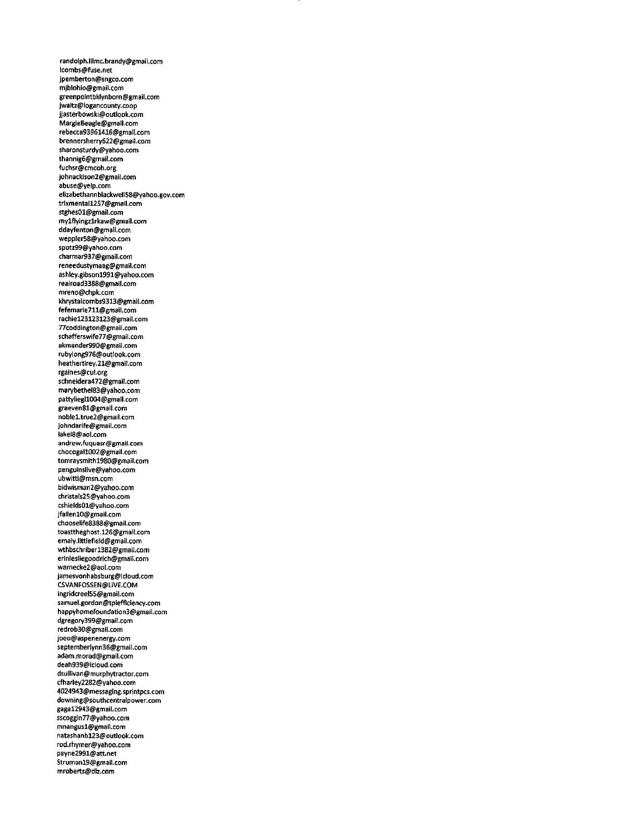randolph.lilmc.brandy@)gmail.com lcombs@fuse.net jpemberton@sngco.com mjblohio@gmail.com greenpointbklynborn@gmail.com jwaltz@logancounty.coop Jjasterbowskl@outlook.com MargieBeagle@gmall.com rebecca93961416@gmail.com brennersherry622@gmail.com sharonsturdy@yahoo.com thannig6@gmail.com fuchsr@cmcoh.org Johnackison2@gmail.com abuse@yelp.com elizabethannbiackweii58@yahoo.gov.com trixmentall2S7@gmail.com stghes01@gmail.com mylflyingzlrkaw@gmail.com ddayfenton@gmail.com weppIer58@yahoo.com spotz99@yahoo.com charmar937@gmail.com reneedustymaag@gmai1.com ashley.gibsonl991@yahoo.com realroad3388@gmail.com mreno@chpk.com khrystalcombs9313@gmail.com fefemarie711@gmail.com rachiel23123123@gmail.com 77coddington@gmail.com schafferswife77@gmaii.com akmander990@gmai1.com rubylong976@outlook.com heathertirey.21@gmail.com rgaines@cul.org schneidera472@gmail.com marybethel83@yahoo.com pattyliegll004@gmaii.com graeven81@gmail.com noblel.true2@gmail.com johndarife@gmail.com iake18@aol.com andrew.fuquasr@gmail.com chocogall002@gmail.com tomraysmithl980@gmail.com pengulnslive@yahoo.com ubwitti@msn.com bidwisman2@yahoo.com christals25@yahoo.com cshields01@yahoo.com jfallenlO@gmail.com chooselife8388@gmail.com toasttheghost.126@gmaif.com emaly.littlefield@gmail.com wthbschriberl382@gmail.com erinlesliegoodrich@gmail.com warnecke2@aol.com jamesvonhabsburg@icloud.com CSVANF0SSEN@LIVE.COM ingridcreel55@gmail.com samuel.gordon@tpiefficiency.com happyhomefoundation3@gmail.com dgregory399@gmail.com redrob30@gmail.com joeo@aspenenergy.com septemberlynn36@gmail.com adam.morad@gmail.com deah939@icioud.com dsullivan@murphytractor.com cfharley2282@yahoo.com 4024943@messaging.sprintpcs.com downing@southcentralpower.com gagal2943@gmail.com sscoggin77@yahoo.com mnangusl@gmai1.com natashanbl23@outlook.com rod.rhymer@yahoo.com payne2991@att.net Strumanl9@gmai1.com mroberts@dlz.com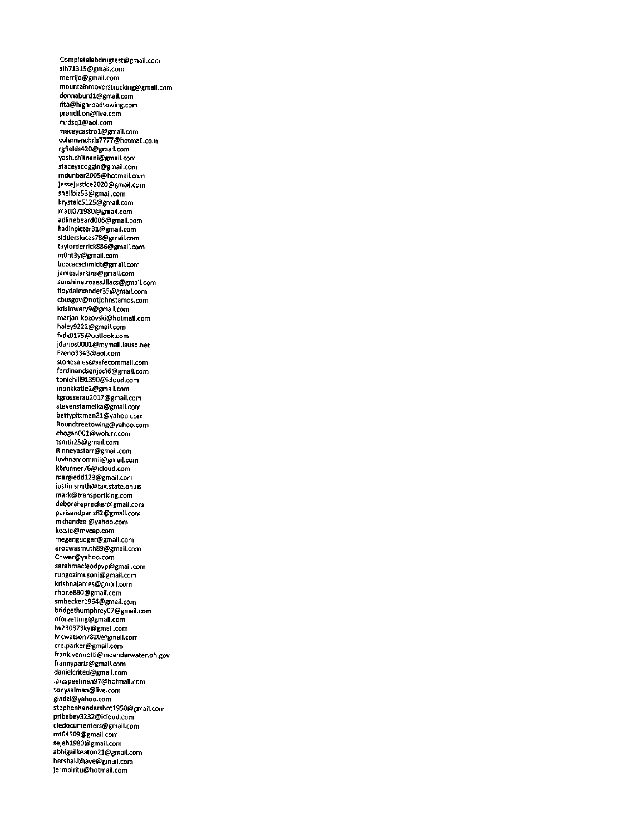Completelabdrugtest@gmail.com slh71315@gmail.com merrijo@gmail.com mountainmoverstrucklng@gmail.com donnaburdl@gmail.com rita@highroadtowing.com prandilion@live.com mrdsql@aol.com maceycastrol@gmaii.com colemanchris7777@hotmail.com rgfields420@gmail.com yash.chitneni@gmail.com staceyscoggin@gmail.com mdunbar2005@hotmail.com jessejustice2020@gmail.com sheilbiz53@gmail.com krYstaic512S@gmail.com matt071980@gmail.com adiinebeard006@gmail.com kadinpitzer31@gmall.com slddersiucas78@gmaii.com taylorderrick886@gmail.com m0nt3y@gmaii.com beccacschmidt@gmail.com james.larkins@gmail.com sunshine.roses.lilacs@gmail.com floydalexander35@gmail.com cbusgov@notJohnstamos.com krislowery9@gmail.com marjan-kozovski@hotmaii.com haley9222@gmail.com fxdx0175@outlook.com Jdarios0001@mymaii.lausd.net Ezeno3343@aoi.com stonesaies@safecommaii.com ferdinandsenjodi6@gmail.com toniehiii91390@icioud,com monkkatie2@gmaii.com kgrosserau2017@gmaii.com stevenstameika@gmaii.com bettypittman21@yahoo.com Roundtreetowing@yahoo.com chogan001@woh.rr.com tsmth25@gmaii.com Rinneyastarr@gmail.com iuvbnamommii@gmaii.com kbrunner76@icioud.com margieddl23@gmaii.com justin.smith@tax.state.oh.us mark@transportking.com deborahsprecker@gmail.com parisandparis82@gmaii.com mkhandzei@yahoo.com keelie@mvcap.com megangudger@gmaii.com arocwasmuth89@gmaii.com Chwer@yahoo.com sarahmacieodpvp@gmaii.com rungozimusoni@gmail.com krishnajames@gmaii.com rhone880@gmail.com smbeckerl964@gmaii.com bridgethumphrey07@gmaii.com nforzetting@gmail.com Iw230373ky@gmaii.com Mcwatson7820@gmaii.com crp.parker@gmail.com frank.vennetti@meanderwater.oh.gov frannyparis@gmaii.com danielcrited@gmaii.com larzspeeiman97@hotmaii.com tonysaiman@live.com gindzl@yahoo.com stephenhendershotl950@gmail.com pribabey3232@icloud.com ciedocumenters@gmaii.com mt64509@gmail.com sejehl980@gmaii.com abbigaiikeaton21@gmail.com hershal.bhave@gmaii.com jermpiritu@hotmail.com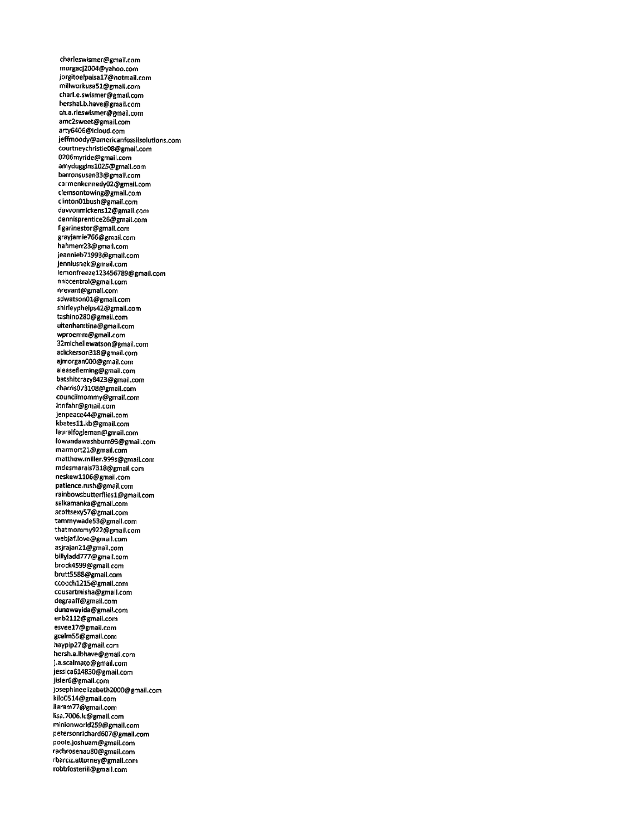charleswismer@gmail.com morgacj2004@y3hoo.com jorgitoelpaisal7@hotmail.com millworkusa51@gmail.com charl.e.swismer@gmail.com hershal.b.have@gmail.com ch.a.rieswismer@gmaii.com amc2sweet@gmail.com arty6406@icioud.com Jefftnoody@americanfossiisoiutions.com courtneychristie08@gmail.com 0206myride@gmaii.com amydugginsl02S@gmaii.com barronsusan33@gmail.com carmenkennedy02@gmaii.com clemsontowing@gmaii.com ciinton01bush@gmail.com dawonmickensl2@gmail.com dennisprentice26@gmail.com figarinestor@gmail.com grayjamie766@gmail.com hahmerr23@gmail.com jeannieb71993@gmail.com jenniusnek@gmail.com iemonfreezel23456789@gmail.com nnbcentral@gmail.com nrevant@gmaii.com sdwatson01@gmail.com shirleyphelps42@gmail.com tashino280@gmail.com uitenhamtina@gmail.com wproemm@gmail.com 32michellewatson@gmaiI.com adickerson318@gmail.com ajmorgan000@gmail.com aieasefleming@gmaii.com batshitcrazy8423@gmail.com charris073108@gmail.com councilmommy@gmail.com innfahr@gmail.com jenpeace44@gmaii.com kbatesll.kb@gmail.com iauraifogieman@gmaii.com low3ndawashburn93@gmail.com marmort21@gmail.com matthew.miller.999s@gmail.com mdesmarais7318@gmail.com neskewll06@gmail.com patience.rush@gmail.com rainbowsbutterfliesl@gmail.com salkamanka@gmaii.com scottsexy57@gmail.com tammywade53@gmail.com thatmommy922@gmail.com webjaf.love@gmail.com asjrajan21@gmail.com billyladd777@gmail.com brock4599@gmail.com brutt5588@gmail.com ccoochl215@gmail.com cousartmisha@gmail.com degraaff@gmail.com dunawayida@gmall.com enb2112@gmaii.com esveel7@gmail.com gcelm55@gmail.com haypip27@gmail.com hersh.a.lbhave@gmail.com j.a.scalmato@gmaii.com jessica614830@gmail.com jisler6@gmall.com josephineelizabeth2000@gmail.com kllo0514@gmail.com ltaram77@gmail.com lisa.7006.lc@gmail.com minionworld259@gmail.com petersonrichard607@gmail.com pooie.joshuam@gmaii.com rachrosenau80@gmaii.com rbarciz.attorney@gmail.com robbfosteriii@gmail.com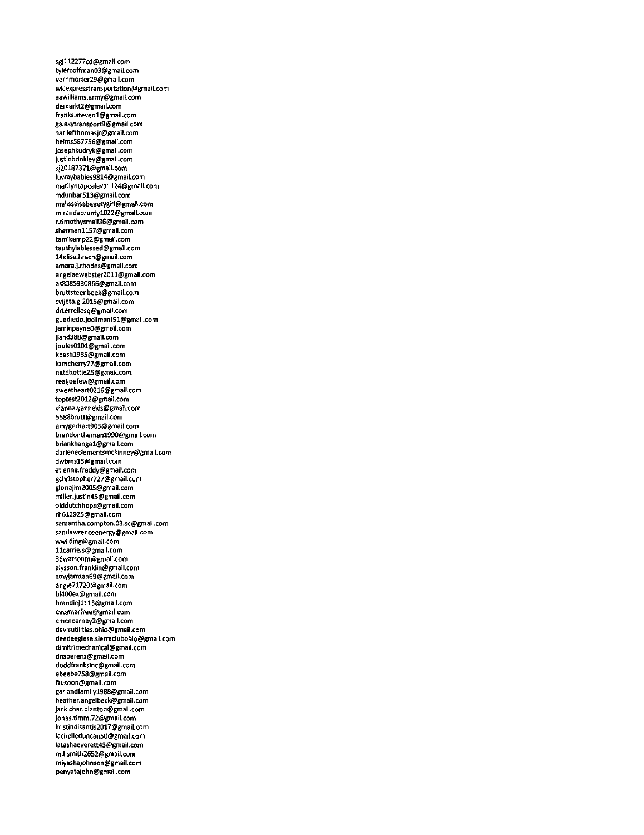sgj112277cd@gmail.com tylercoffman03@gmail.com vernmorter29@gmail.com wlcexpre\$stransportation@gmail.com aawilliams.armv@gmail.com demarkt2@gmail.com franks.steven1@gmail.com galaxytransport9@gmatl.com harliefthomasjr@gmail.com helms587756@gmail.com josephkudryk@gmaii.com Justinbrinkiey@gmaii.com kj201S7371@gmail.com Iuvmybabies9814@gmail.com matiiyntapeaiavall24@gmaii.com mdunbar513@gmaii.com melissaisabeautygirl@gmail.com mirandabruntyl022@gmail.com r.timothysmail36@gmaii.com shermanll57@gmaii.com tamikemp22@gmail.com taushyiablessed@gmaii.com 14elise.hrach@gmail.com amara.j.rhodes@gmaii.com angelaewebster2011@gmail.com as8385930866@gmaii.com bruttsteenbeek@gmaii.com cvijeta.g.2015@gmaii.com drterreilesq@gmail.com guediedo.Joclimant91@gmaii.com JaminpayneO@gmail.com jland388@gmail.com joules0101@gmaii.com kbashl985@gmaii.com kzmcherry77@gmail.com natehottie25@gmail.com reaiJoefew@gmaii.com sweetheart0216@gmail.com toptest2012@gmail.com vianna.Yannekis@gmail.com 5588brutt@gmaii.com amygerhart905@gmaii.com brandonthemanl990@gmaii.com briankhangal@gmail.com darleneclementsmckinney@gmail.com dwbmsl3@gmail.com etlenne.freddy@gmail.com gchristopher727@gmail.com gloriajim2005@gmail.com miller.Justin45@gmail.com olddutchhops@gmail.com rh6l2925@gmail.com samantha.compton.03.sc@gmail.com samlawrenceenergy@gmall.com wwildtng@gmail.com llcarrie.s@gmail.com 36watsonm@gmail.com alysson.franklin@gmail.com amvjarman69@gmail.com angie71720@gmail.com bl400ex@gmail.com brandiej1115@gmail.com catamarfree@gmail.com cmcnearney2@gmail.com davisutilities.ohio@gmail.com deedeegiese.sierraclubohio@gmail.com dimitrimechanical@gmali.com dnsberens@gmail.com doddfranksinc@gmail.com ebeebe758@gmail.com ftusoon@gmail.com garlandfamilyl988@gmail.com heather.angelbeck@gmail.com jack.char.blanton@gmail.com Jonas.timm.72@gmail.com kristindisantis2017@gmail.com Iachelleduncan50@gmail.com Iatashaeverett43@gmail.com m.l.smith2652@gmail.com miyashaJohnson@gmail.com penyatajohn@gmail.com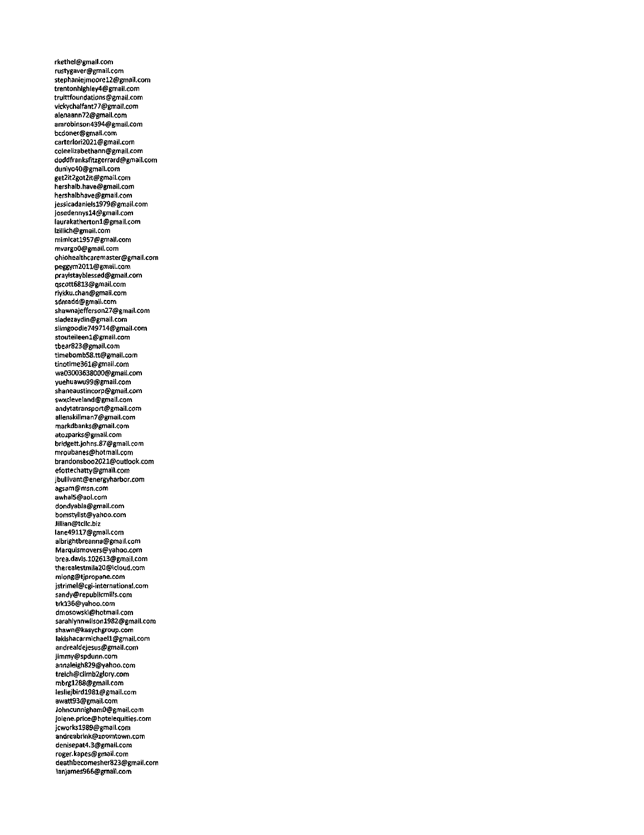rkethel@gmall.com rustygaver@gmail.com stephaniejmoorel2@gmall.com trentonhighley4@gmail.com truittfoundations@gmail.com vickychalfant77@gmail.com alenaann72@gmail.com amrobinson4394@gmail.com bcdoner@gmail.com carterlori202l@gmaii.com coieeiizabethann@gmail.com doddfranksfitzgerrard@gmail.com duniyo40@gmail.com get2it2got2it@gmail.com hershaib.have@gmaii.com hershalbhave@gmail.com jessicadaniels1979@gmail.com josedennysl4@gmail.com laurakathertonl@gmail.com lziiiich@gmaii.com mimicatl957@gmail.com mvargoO@gmail.com ohioheaithcarem3ster@gmail.com peggym2011@gmail.com prayistayblessed@gmail.com qscott6813@gmaii.com riykku.chan@gmail.com sdmadd@gmail.com shawnajefferson27@gmaii.com siadezaydin@gmail.com sitmgoodie749714@gmail.com stouteileenl@gmail.com tbear823@gmail.com timebombS8.tt@gmaii.com tinotime361@gmaii.com wa03003638000@gmail.com yuehuawu99@gmaii.com shaneaustincorp@gmail.com \$wxcleveiand@gmail.com andytatransport@gmail.com alienskiliman7@gmaii.com markdbanks@gmail.com atozparks@gmarl.com bridgett.Johns.87@gmaii.com mroubanes@hotmaii.com brandonsboo2021@outlook.com efottechatty@gmail.com jbuliivant@energyharbor.com agsam@msn.com awhaiS@aoi.com dondyabla@gmaii.com bomstylist@yahoo.com Jillian@tcllc.biz Iane49117@gmaii.com aibrightbreanna@gmail.com Marquismovers@yahoo.com brea.davis.102613@gmail.com therealestmila20@icloud.com miong@tjpropane.com jstrimel@cgi-international.com sandy@republicmills.com trkl36@yahoo.com dmosowski@hotmail.com sarahiynnwiisonl982@gmail.com shawn@kasychgroup.com lakishacarmichaell@gmaii.com andrealdejesus@gmail.com jimmy@spdunn.com annaleigh829@yahoo.com treich@climb2glory.com mbrgl288@gmail.com Iesliejbirdl981@gmaii.com awatt93@gmail.com JohncunnighamO@gmail.com joiene.price@hoteiequities.com jcworksl989@gmail.com andreabrink@zoomtown.com denisepat4.3@gmail.com roger.kapes@gmail.com deathbecomesher823@gmaii.com Ianjames966@gmai1.com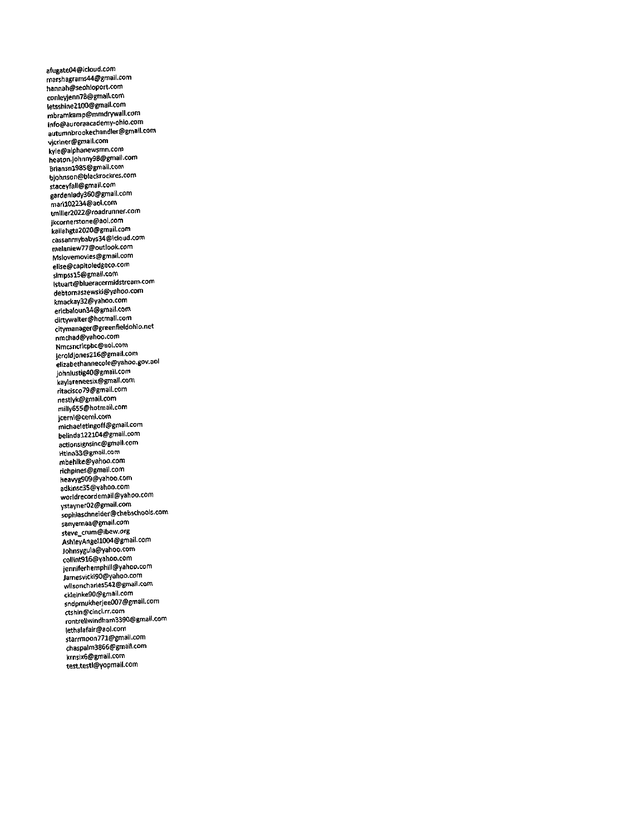afugate04@iclood.com marshagram\$44@gmail.com hannah@seohioport.com conleyjenn78@gmail.com letsshine2100@gmall.com mbramkamp@mmdrywall.com irifo@auroraacademy-ohio.com autumnbrookechandler@gmail.com vjcriner@gmail.com kyle@alphanewsmn.com heaton.johnny98@gmall.com Briansnl985@gmail.com bjohnson@blackrockres.com staceyfall@gmail.com gardenlady360@gmail.com martl02234@aol.tom tmiller2022@roadrunner.com jkcornerstone@aol.com kailahgta2020@gmail.com cassanmybabys34@icloud.com melaniew77@outlook.com Mslovemovies@gmail.com elise@capitoledgeco.com simp5Sl5@gmall.com istuart@biueracermidstream.com debtomas2ewski@yahoo.com kmackay32@yahoo.com ericbaloun34@gmail.com dirtywalter@hotmail.com citymanager@greenfieldohio.net nmchad@yahoo.com<br>Nmcsncricpbc@aol.com Nmcsncrlcpbc@aol.com jeroldlones216@gmail.com eii2abethannecole@yahoo.gov.30l johnlustig40@gmail.com kaYlareneesix@gmail.com ritacisco79@gmail.com nestlyk@gmail.com milly655@hotmail.com jcerni@cerni.com michaeletingoff@gmail.com belindal22l04@gmail.com actionsignsinc@gmail.com Htina33@gmail.com mbehlke@yahoo.com richpines@gmail.com heavyg909@yahoo,corr. 3dkinsc35@yahoo.com worldrecordem8il@yahoo.com ystayner02@gmaii.com sophiaschneider@chebschools.com sanvemaa@gmail.com steve\_crum@ibew.org AshleyAngell004@gmail.com johnsygula@yahoo.com collint916@yahoo.com jenniferhemphill@yahoo.com Jamesvicki90@yahoo.com wilsoncharles542@gmail.com<br>ckleinke90@gmail.com cWeinke90@gmail.com sndpmukherjee007@gmail.com ctshin@cinci.rr.com rontrellwindham3390@gmail.com lethalafair@aol.com starrmoon771@gmail.com Chaspalm3866@gmai1.com krnslx6@gmail.com testtestl@Yopmall.com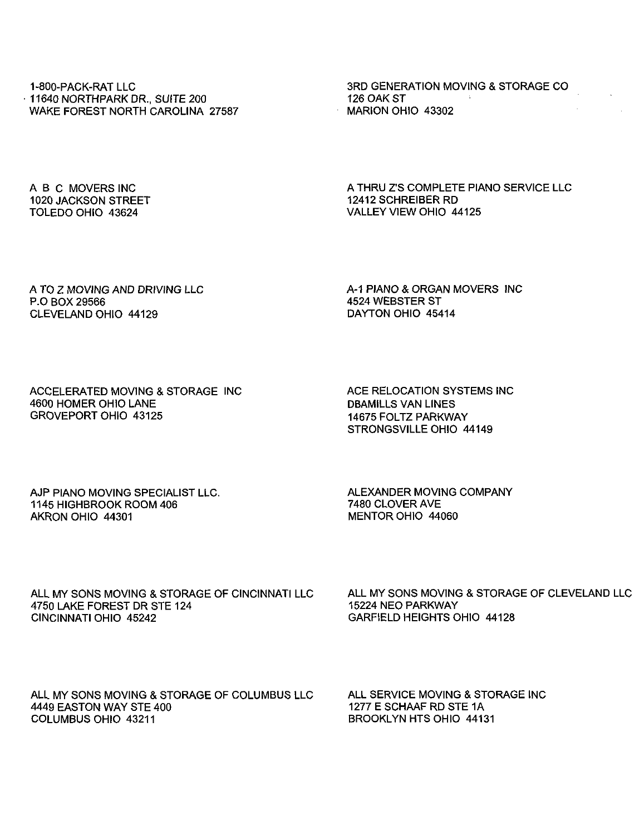1-800-PACK-RAT LLC 11640 NORTHPARK DR., SUITE 200 WAKE FOREST NORTH CAROLINA 27587 3RD GENERATION MOVING & STORAGE CO 126 OAK ST MARION OHIO 43302

ABC MOVERS INC 1020 JACKSON STREET TOLEDO OHIO 43624

A THRU Z'S COMPLETE PIANO SERVICE LLC 12412 SCHREIBER RD VALLEY VIEW OHIO 44125

A TO Z MOVING AND DRIVING LLC P.O BOX 29566 CLEVELAND OHIO 44129

A-1 PIANO & ORGAN MOVERS INC 4524 WEBSTER ST DAYTON OHIO 45414

ACCELERATED MOVING & STORAGE INC 4600 HOMER OHIO LANE GROVEPORT OHIO 43125

ACE RELOCATION SYSTEMS INC DBAMILLS VAN LINES 14675 FOLTZ PARKWAY STRONGSVILLE OHIO 44149

AJP PIANO MOVING SPECIALIST LLC. 1145 HIGHBROOK ROOM 406 AKRON OHIO 44301

ALEXANDER MOVING COMPANY 7480 CLOVER AVE MENTOR OHIO 44060

ALL MY SONS MOVING & STORAGE OF CINCINNATI LLC 4750 LAKE FOREST DR STE 124 CINCINNATI OHIO 45242

ALL MY SONS MOVING & STORAGE OF CLEVELAND LLC 15224 NEO PARKWAY GARFIELD HEIGHTS OHIO 44128

ALL MY SONS MOVING & STORAGE OF COLUMBUS LLC 4449 EASTON WAY STE 400 COLUMBUS OHIO 43211

ALL SERVICE MOVING & STORAGE INC 1277 E SCHAAF RD STE 1A BROOKLYN HTS OHIO 44131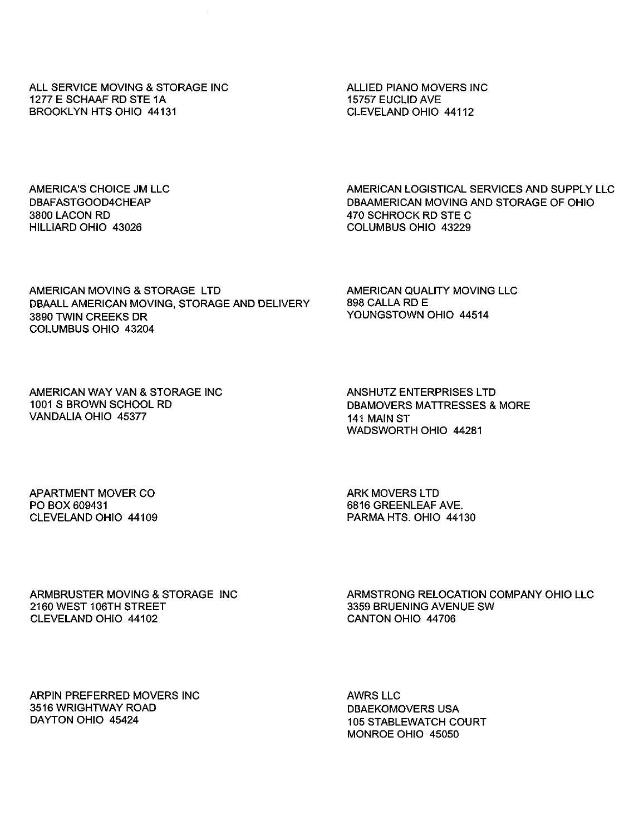ALL SERVICE MOVING & STORAGE INC 1277 E SCHAAF RD STE 1A BROOKLYN HTS OHIO 44131

ALLIED PIANO MOVERS INC 15757 EUCLID AVE CLEVELAND OHIO 44112

AMERICA'S CHOICE JM LLC DBAFASTGOOD4CHEAP 3800 LACON RD HILLIARD OHIO 43026

AMERICAN LOGISTICAL SERVICES AND SUPPLY LLC DBAAMERICAN MOVING AND STORAGE OF OHIO 470 SCHROCK RD STE C COLUMBUS OHIO 43229

AMERICAN MOVING & STORAGE LTD DBAALL AMERICAN MOVING, STORAGE AND DELIVERY 3890 TWIN CREEKS DR COLUMBUS OHIO 43204

AMERICAN QUALITY MOVING LLC 898 CALLA RD E YOUNGSTOWN OHIO 44514

AMERICAN WAY VAN & STORAGE INC 1001 S BROWN SCHOOL RD VANDALIA OHIO 45377

ANSHUTZ ENTERPRISES LTD DBAMOVERS MATTRESSES & MORE 141 MAIN ST WADSWORTH OHIO 44281

APARTMENT MOVER CO PO BOX 609431 CLEVELAND OHIO 44109 ARK MOVERS LTD 6816 GREENLEAF AVE. PARMA HTS. OHIO 44130

ARMBRUSTER MOVING & STORAGE 2160 WEST 106TH STREET CLEVELAND OHIO 44102

ARMSTRONG RELOCATION COMPANY OHIO LLC 3359 BRUENING AVENUE SW CANTON OHIO 44706

ARPIN PREFERRED MOVERS INC 3516 WRIGHTWAY ROAD DAYTON OHIO 45424

AWRS LLC DBAEKOMOVERS USA 105 STABLEWATCH COURT MONROE OHIO 45050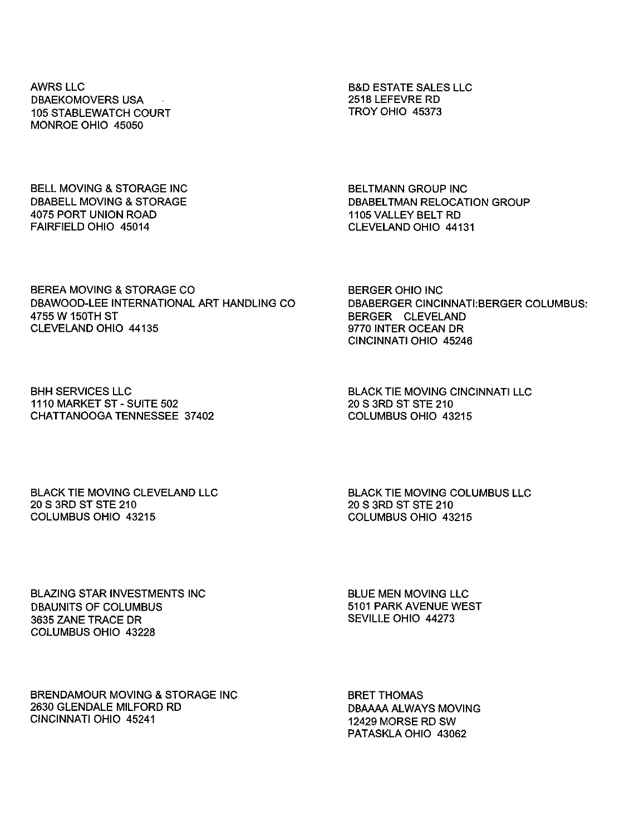AWRS LLC DBAEKOMOVERS USA 105 STABLEWATCH COURT MONROE OHIO 45050

B&D ESTATE SALES LLC 2518LEFEVRE RD TROY OHIO 45373

BELL MOVING & STORAGE INC DBABELL MOVING & STORAGE 4075 PORT UNION ROAD FAIRFIELD OHIO 45014

BELTMANN GROUP INC DBABELTMAN RELOCATION GROUP 1105 VALLEY BELT RD CLEVELAND OHIO 44131

BEREA MOVING & STORAGE CO DBAWOOD-LEE INTERNATIONAL ART HANDLING CO 4755 W 150TH ST CLEVELAND OHIO 44135

BERGER OHIO INC DBABERGER CINCINNATI: BERGER COLUMBUS: BERGER CLEVELAND 9770 INTER OCEAN DR CINCINNATI OHIO 45246

BHH SERVICES LLC 1110 MARKET ST - SUITE 502 CHATTANOOGA TENNESSEE 37402 BLACK TIE MOVING CINCINNATI LLC 20 S 3RD ST STE210 COLUMBUS OHIO 43215

BLACK TIE MOVING CLEVELAND LLC 20 S 3RD ST STE 210 COLUMBUS OHIO 43215

BLACK TIE MOVING COLUMBUS LLC 20 S 3RD ST STE 210 COLUMBUS OHIO 43215

BLAZING STAR INVESTMENTS INC DBAUNITS OF COLUMBUS 3635 ZANE TRACE DR COLUMBUS OHIO 43228

BLUE MEN MOVING LLC 5101 PARK AVENUE WEST SEVILLE OHIO 44273

BRENDAMOUR MOVING & STORAGE INC 2630 GLENDALE MILFORD RD CINCINNATI OHIO 45241

BRET THOMAS DBAAAA ALWAYS MOVING 12429 MORSE RD SW PATASKLA OHIO 43062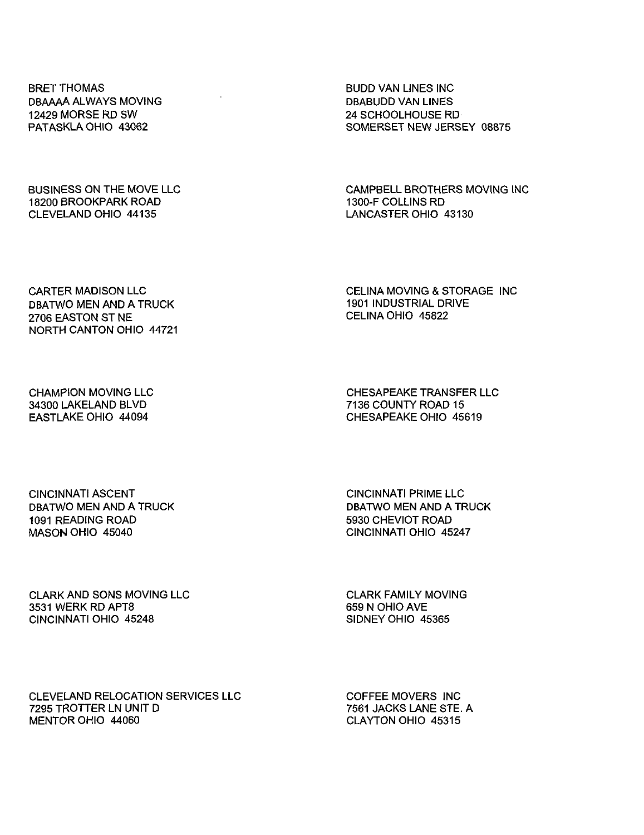BRET THOMAS DBAAAA ALWAYS MOVING 12429 MORSE RD SW PATASKLA OHIO 43062

BUSINESS ON THE MOVE LLC 18200 BROOKPARK ROAD CLEVELAND OHIO 44135

BUDD VAN LINES INC DBABUDD VAN LINES 24 SCHOOLHOUSE RD SOMERSET NEW JERSEY 08875

CAMPBELL BROTHERS MOVING INC 1300-F COLLINS RD LANCASTER OHIO 43130

CARTER MADISON LLC DBATWO MEN AND A TRUCK 2706 EASTON ST NE NORTH CANTON OHIO 44721

CELINA MOVING & STORAGE INC 1901 INDUSTRIAL DRIVE CELINA OHIO 45822

CHAMPION MOVING LLC 34300 LAKELAND BLVD EASTLAKE OHIO 44094

CHESAPEAKE TRANSFER LLC 7136 COUNTY ROAD 15 CHESAPEAKE OHIO 45619

CINCINNATI ASCENT DBATWO MEN AND A TRUCK 1091 READING ROAD MASON OHIO 45040

CINCINNATI PRIME LLC DBATWO MEN AND A TRUCK 5930 CHEVIOT ROAD CINCINNATI OHIO 45247

CLARK AND SONS MOVING LLC 3531 WERK RD APTS CINCINNATI OHIO 45248

CLARK FAMILY MOVING 659 N OHIO AVE SIDNEY OHIO 45365

CLEVELAND RELOCATION SERVICES LLC 7295 TROTTER LN UNIT D MENTOR OHIO 44060

COFFEE MOVERS INC 7561 JACKS LANESTE.A CLAYTON OHIO 45315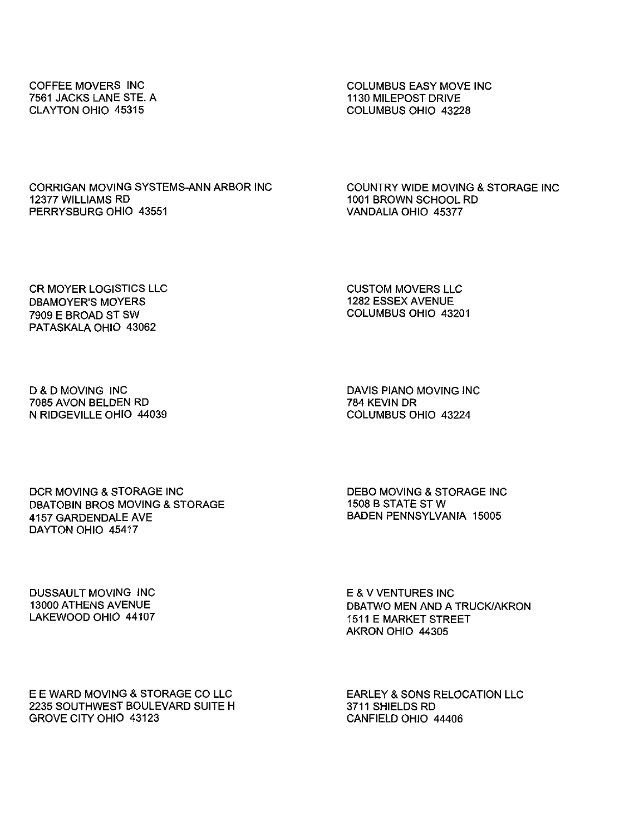COFFEE MOVERS INC 7561 JACKS LANE STE. A CLAYTON OHIO 45315

COLUMBUS EASY MOVE INC 1130 MILEPOST DRIVE COLUMBUS OHIO 43228

CORRIGAN MOVING SYSTEMS-ANN ARBOR INC 12377 WILLIAMS RD PERRYSBURG OHIO 43551

COUNTRY WIDE MOVING & STORAGE INC 1001 BROWN SCHOOL RD VANDALIA OHIO 45377

CR MOYER LOGISTICS LLC DBAMOYER'S MOYERS 7909 E BROAD ST SW PATASKALA OHIO 43062

CUSTOM MOVERS LLC 1282 ESSEX AVENUE COLUMBUS OHIO 43201

D & D MOVING INC 7085 AVON BELDEN RD N RIDGEVILLE OHIO 44039 DAVIS PIANO MOVING INC 784 KEVIN DR COLUMBUS OHIO 43224

DCR MOVING & STORAGE INC DBATOBIN BROS MOVING & STORAGE 4157 GARDENDALE AVE DAYTON OHIO 45417

DEBO MOVING & STORAGE INC 1508 B STATE STW BADEN PENNSYLVANIA 15005

DUSSAULT MOVING INC 13000 ATHENS AVENUE LAKEWOOD OHIO 44107 E&VVENTURESINC DBATWO MEN AND A TRUCK/AKRON 1511 E MARKET STREET AKRON OHIO 44305

E E WARD MOVING & STORAGE CO LLC 2235 SOUTHWEST BOULEVARD SUITE H GROVE CITY OHIO 43123

EARLEY & SONS RELOCATION LLC 3711 SHIELDS RD CANFIELD OHIO 44406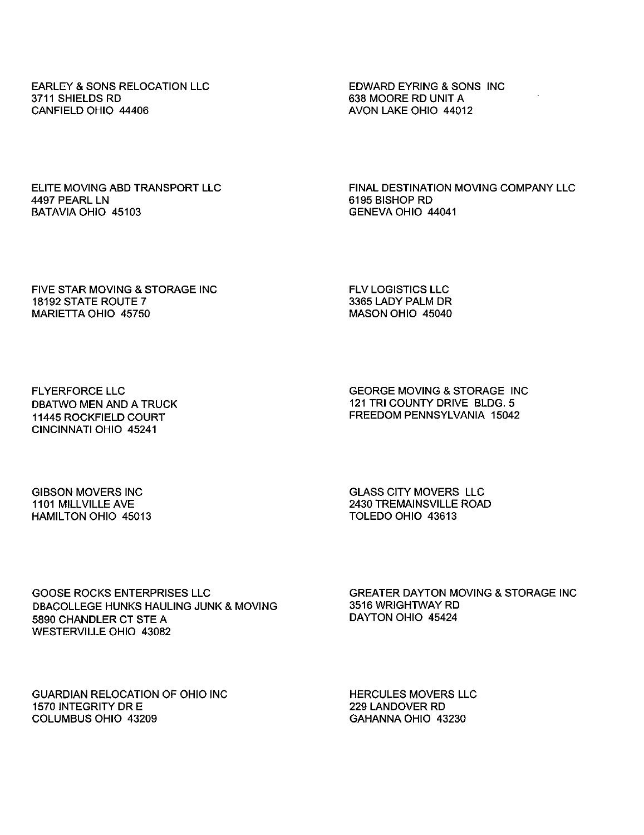EARLEY & SONS RELOCATION LLC 3711 SHIELDS RD CANFIELD OHIO 44406

EDWARD EYRING & SONS INC 638 MOORE RD UNIT A AVON LAKE OHIO 44012

ELITE MOVING ABD TRANSPORT LLC 4497 PEARL LN BATAVIA OHIO 45103

FINAL DESTINATION MOVING COMPANY LLC 6195 BISHOP RD GENEVA OHIO 44041

FIVE STAR MOVING & STORAGE INC 18192 STATE ROUTE 7 MARIETTA OHIO 45750

FLV LOGISTICS LLC 3365 LADY PALM DR MASON OHIO 45040

FLYERFORCE LLC DBATWO MEN AND A TRUCK 11445 ROCKFIELD COURT CINCINNATI OHIO 45241

GEORGE MOVING & STORAGE INC 121 TRI COUNTY DRIVE BLDG. 5 FREEDOM PENNSYLVANIA 15042

GIBSON MOVERS INC 1101 MILLVILLE AVE HAMILTON OHIO 45013 GLASS CITY MOVERS LLC 2430 TREMAINSVILLE ROAD TOLEDO OHIO 43613

GOOSE ROCKS ENTERPRISES LLC DBACOLLEGE HUNKS HAULING JUNK & MOVING 5890 CHANDLER CT STE A WESTERVILLE OHIO 43082

GREATER DAYTON MOVING & STORAGE INC 3516 WRIGHTWAY RD DAYTON OHIO 45424

GUARDIAN RELOCATION OF OHIO INC 1570 INTEGRITY DR E COLUMBUS OHIO 43209

HERCULES MOVERS LLC 229 LANDOVER RD GAHANNA OHIO 43230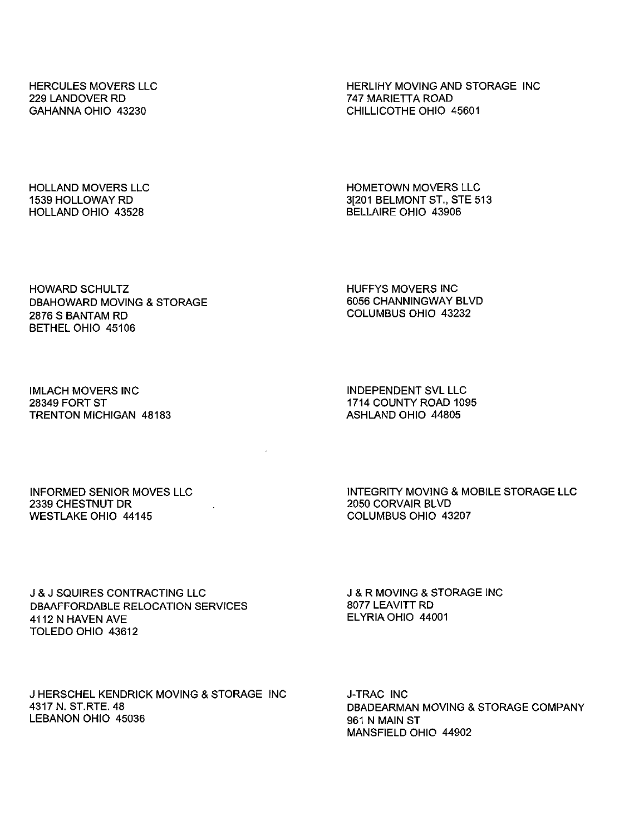HERCULES MOVERS LLC 229 LANDOVER RD GAHANNA OHIO 43230

HERLIHY MOVING AND STORAGE INC 747 MARIETTA ROAD CHILLICOTHE OHIO 45601

HOLLAND MOVERS LLC 1539 HOLLOWAY RD HOLLAND OHIO 43528

HOMETOWN MOVERS LLC 3[201 BELMONT ST., STE 513 BELLAIRE OHIO 43906

HOWARD SCHULTZ DBAHOWARD MOVING & STORAGE 2876 S BANTAM RD BETHEL OHIO 45106

HUFFYS MOVERS INC 6056 CHANNINGWAY BLVD COLUMBUS OHIO 43232

IMLACH MOVERS INC 28349 FORT ST TRENTON MICHIGAN 48183 INDEPENDENT SVL LLC 1714 COUNTY ROAD 1095 ASHLAND OHIO 44805

INFORMED SENIOR MOVES LLC 2339 CHESTNUT DR WESTLAKE OHIO 44145

INTEGRITY MOVING & MOBILE STORAGE LLC 2050 CORVAIR BLVD COLUMBUS OHIO 43207

J & J SQUIRES CONTRACTING LLC DBAAFFORDABLE RELOCATION SERVICES 4112 N HAVEN AVE TOLEDO OHIO 43612

J & R MOVING & STORAGE INC 8077 LEAVITT RD ELYRIA OHIO 44001

J HERSCHEL KENDRICK MOVING & STORAGE INC 4317 N. ST.RTE. 48 LEBANON OHIO 45036

**J-TRAC INC** DBADEARMAN MOVING & STORAGE COMPANY 961 N MAIN ST MANSFIELD OHIO 44902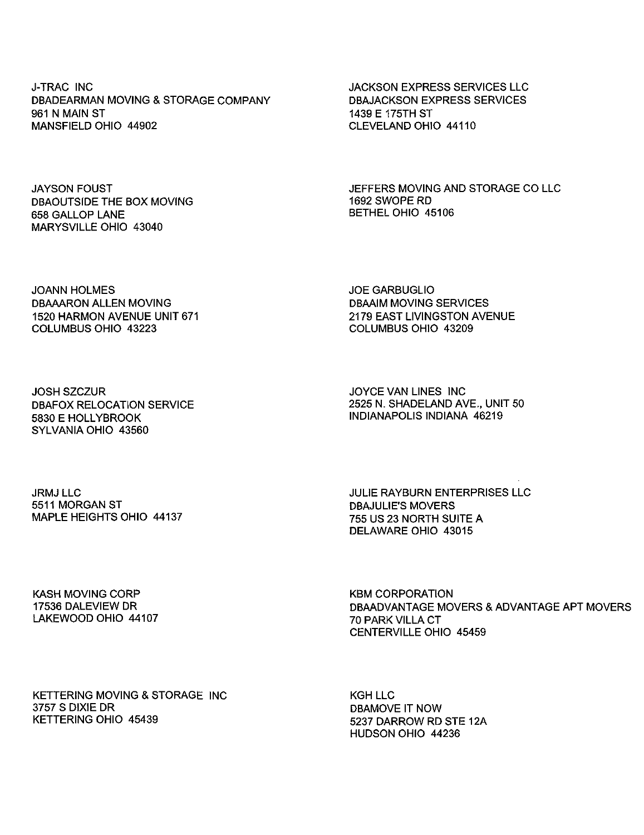J-TRAC INC DBADEARMAN MOVING & STORAGE COMPANY 961 N MAIN ST MANSFIELD OHIO 44902

JAYSON FOUST DBAOUTSIDE THE BOX MOVING 658 GALLOP LANE MARYSVILLE OHIO 43040

JACKSON EXPRESS SERVICES LLC DBAJACKSON EXPRESS SERVICES 1439 E 175TH ST CLEVELAND OHIO 44110

JEFFERS MOVING AND STORAGE CO LLC 1692 SWOPE RD BETHEL OHIO 45106

JOANN HOLMES DBAAARON ALLEN MOVING 1520 HARMON AVENUE UNIT 671 COLUMBUS OHIO 43223

JOE GARBUGLIO DBAAIM MOVING SERVICES 2179 EAST LIVINGSTON AVENUE COLUMBUS OHIO 43209

JOSH SZCZUR DBAFOX RELOCATION SERVICE 5830 E HOLLYBROOK SYLVANIA OHIO 43560

JOYCE VAN LINES INC 2525 N. SHADELAND AVE., UNIT 50 INDIANAPOLIS INDIANA 46219

JRMJ LLC 5511 MORGAN ST MAPLE HEIGHTS OHIO 44137 JULIE RAYBURN ENTERPRISES LLC DBAJULIE'S MOVERS 755 US 23 NORTH SUITE A DELAWARE OHIO 43015

KASH MOVING CORP 17536 DALEVIEW DR LAKEWOOD OHIO 44107 KBM CORPORATION DBAADVANTAGE MOVERS & ADVANTAGE APT MOVERS 70 PARK VILLA CT CENTERVILLE OHIO 45459

KETTERING MOVING & STORAGE 3757 S DIXIE DR KETTERING OHIO 45439

KGH LLC DBAMOVE IT NOW 5237 DARROW RD STE 12A HUDSON OHIO 44236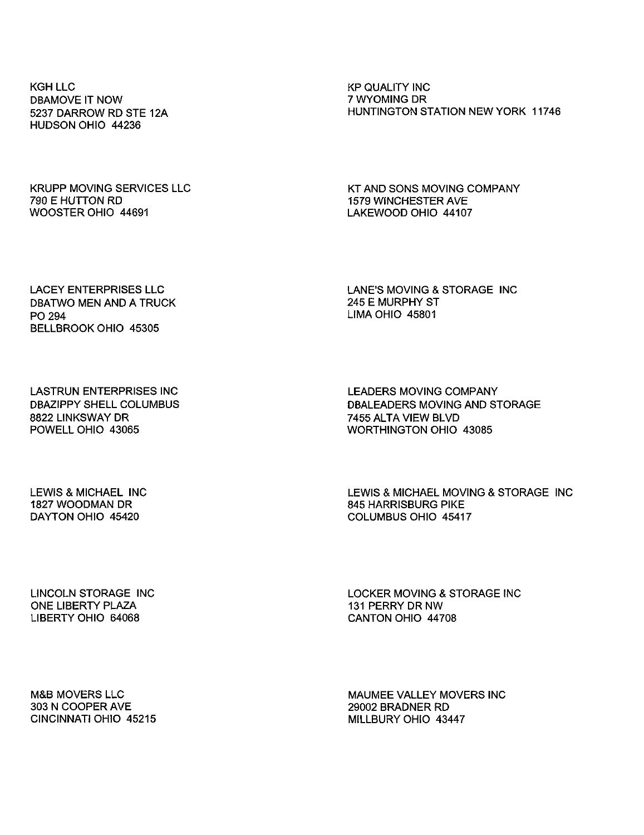KGH LLC DBAMOVE IT NOW 5237 DARROW RD STE 12A HUDSON OHIO 44236

KP QUALITY INC 7 WYOMING DR HUNTINGTON STATION NEW YORK 11746

KRUPP MOVING SERVICES LLC 790 E HUTTON RD WOOSTER OHIO 44691

KT AND SONS MOVING COMPANY 1579 WINCHESTER AVE LAKEWOOD OHIO 44107

LACEY ENTERPRISES LLC DBATWO MEN AND A TRUCK PO 294 BELLBROOKOHIO 45305

LANE'S MOVING & STORAGE INC 245 E MURPHY ST LIMA OHIO 45801

LASTRUN ENTERPRISES INC DBAZIPPY SHELL COLUMBUS 8822 LINKSWAY DR POWELL OHIO 43065

LEADERS MOVING COMPANY DBALEADERS MOVING AND STORAGE 7455 ALTA VIEW BLVD WORTHINGTON OHIO 43085

LEWIS & MICHAEL INC 1827 WOODMAN DR DAYTON OHIO 45420

LEWIS & MICHAEL MOVING & STORAGE INC 845 HARRISBURG PIKE COLUMBUS OHIO 45417

LINCOLN STORAGE INC ONE LIBERTY PLAZA LIBERTY OHIO 64068

LOCKER MOVING & STORAGE INC 131 PERRY DR NW CANTON OHIO 44708

M&B MOVERS LLC 303 N COOPER AVE CINCINNATI OHIO 45215 MAUMEE VALLEY MOVERS INC 29002 BRADNER RD MILLBURY OHIO 43447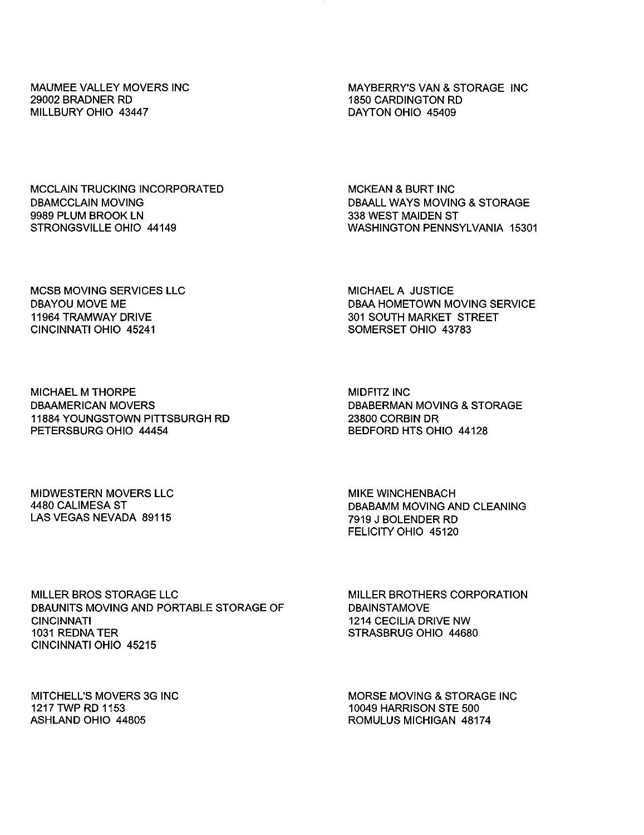MAUMEE VALLEY MOVERS INC 29002 BRADNER RD MILLBURY OHIO 43447

MAYBERRY'S VAN & STORAGE INC 1850 CARDINGTON RD DAYTON OHIO 45409

MCCLAIN TRUCKING INCORPORATED DBAMCCLAIN MOVING 9989 PLUM BROOK LN STRONGSVILLE OHIO 44149

MCKEAN & BURT INC DBAALL WAYS MOVING & STORAGE 338 WEST MAIDEN ST WASHINGTON PENNSYLVANIA 15301

MCSB MOVING SERVICES LLC DBAYOU MOVE ME 11964 TRAMWAY DRIVE CINCINNATI OHIO 45241

MICHAEL A JUSTICE DBAA HOMETOWN MOVING SERVICE 301 SOUTH MARKET STREET SOMERSET OHIO 43783

MICHAEL M THORPE DBAAMERICAN MOVERS 11884 YOUNGSTOWN PITTSBURGH RD PETERSBURG OHIO 44454

MIDFITZ INC DBABERMAN MOVING & STORAGE 23800 CORBIN DR BEDFORD HTS OHIO 44128

MIDWESTERN MOVERS LLC 4480CALIMESA ST LAS VEGAS NEVADA 89115

MIKE WINCHENBACH DBABAMM MOVING AND CLEANING 7919 J BOLENDER RD FELICITY OHIO 45120

MILLER BROS STORAGE LLC DBAUNITS MOVING AND PORTABLE STORAGE OF CINCINNATI 1031 REDNATER CINCINNATI OHIO 45215

MILLER BROTHERS CORPORATION **DBAINSTAMOVE** 1214 CECILIA DRIVE NW STRASBRUG OHIO 44680

MITCHELL'S MOVERS 3G INC 1217 TWP RD 1153 ASHLAND OHIO 44805

MORSE MOVING & STORAGE INC 10049 HARRISON STE 500 ROMULUS MICHIGAN 48174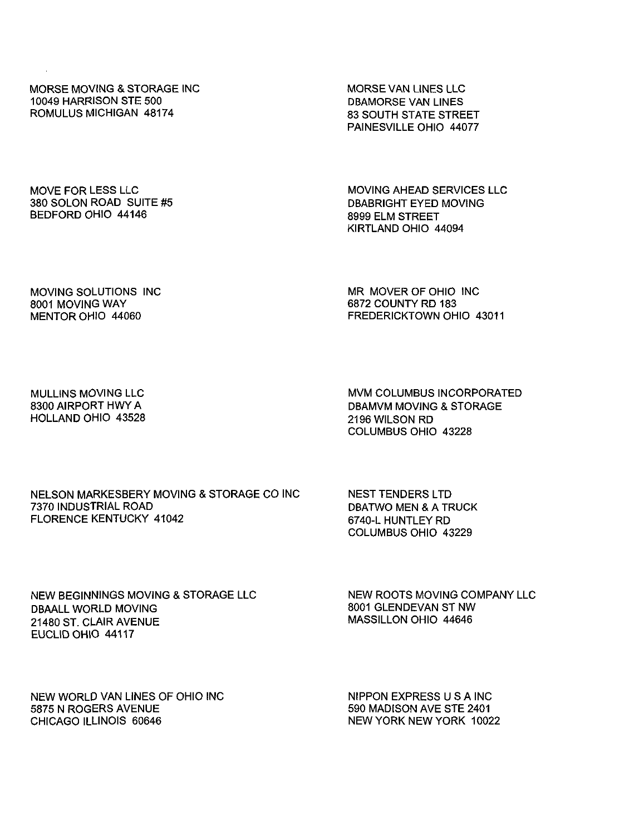MORSE MOVING & STORAGE INC 10049 HARRISON STE 500 ROMULUS MICHIGAN 48174

MORSE VAN LINES LLC DBAMORSE VAN LINES 83 SOUTH STATE STREET PAINESVILLE OHIO 44077

MOVE FOR LESS LLC 380 SOLON ROAD SUITE #5 BEDFORD OHIO 44146

MOVING AHEAD SERVICES LLC DBABRIGHT EYED MOVING 8999 ELM STREET KIRTLAND OHIO 44094

MOVING SOLUTIONS INC 8001 MOVING WAY MENTOR OHIO 44060

MR MOVER OF OHIO INC 6872 COUNTY RD 183 FREDERICKTOWN OHIO 43011

MULLINS MOVING LLC 8300 AIRPORT HWY A HOLLAND OHIO 43528

MVM COLUMBUS INCORPORATED DBAMVM MOVING & STORAGE 2196 WILSON RD COLUMBUS OHIO 43228

## NELSON MARKESBERY MOVING & STORAGE CO INC 7370 INDUSTRIAL ROAD FLORENCE KENTUCKY 41042

NEST TENDERS LTD DBATWO MEN & A TRUCK 6740-L HUNTLEY RD COLUMBUS OHIO 43229

NEW BEGINNINGS MOVING & STORAGE LLC DBAALL WORLD MOVING 21480 ST. CLAIR AVENUE EUCLID OHIO 44117

NEW ROOTS MOVING COMPANY LLC 8001 GLENDEVAN ST NW MASSILLON OHIO 44646

NEW WORLD VAN LINES OF OHIO INC 5875 N ROGERS AVENUE CHICAGO ILLINOIS 60646

NIPPON EXPRESS U S A INC 590 MADISON AVE STE 2401 NEW YORK NEW YORK 10022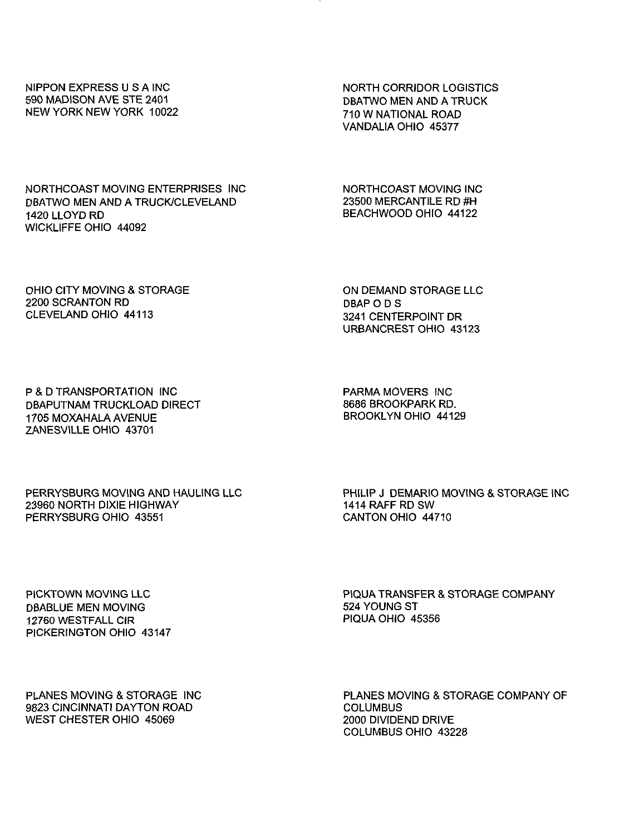NIPPON EXPRESS U S A INC 590 MADISON AVE STE 2401 NEW YORK NEW YORK 10022

1420 LLOYD RD

WICKLIFFE OHIO 44092

NORTH CORRIDOR LOGISTICS DBATWO MEN AND A TRUCK 710 W NATIONAL ROAD VANDALIA OHIO 45377

NORTHCOAST MOVING INC 23500 MERCANTILE RD #H BEACHWOOD OHIO 44122

OHIO CITY MOVING & STORAGE 2200 SCRANTON RD CLEVELAND OHIO 44113

NORTHCOAST MOVING ENTERPRISES INC DBATWO MEN AND A TRUCK/CLEVELAND

> ON DEMAND STORAGE LLC DBAP O D S 3241 CENTERPOINT DR URBANCREST OHIO 43123

P & D TRANSPORTATION INC DBAPUTNAM TRUCKLOAD DIRECT 1705 MOXAHALA AVENUE ZANESVILLE OHIO 43701

PARMA MOVERS INC 8686 BROOKPARK RD. BROOKLYN OHIO 44129

PERRYSBURG MOVING AND HAULING LLC 23960 NORTH DIXIE HIGHWAY PERRYSBURG OHIO 43551

PHILIP J DEMARIO MOVING & STORAGE INC 1414 RAFF RD SW CANTON OHIO 44710

PICKTOWN MOVING LLC DBABLUE MEN MOVING 12760 WESTFALL CIR PICKERINGTON OHIO 43147 PIQUA TRANSFER & STORAGE COMPANY 524 YOUNG ST PIQUA OHIO 45356

planes MOVING & STORAGE INC 9823 CINCINNATI DAYTON ROAD WEST CHESTER OHIO 45069

PLANES MOVING & STORAGE COMPANY OF **COLUMBUS** 2000 DIVIDEND DRIVE COLUMBUS OHIO 43228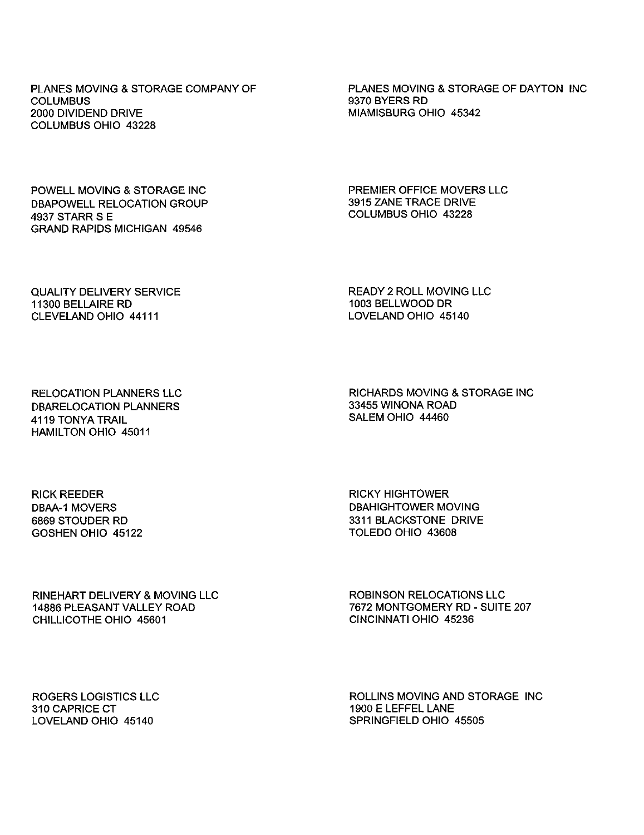PLANES MOVING & STORAGE COMPANY OF **COLUMBUS** 2000 DIVIDEND DRIVE COLUMBUS OHIO 43228

PLANES MOVING & STORAGE OF DAYTON INC 9370 BYERS RD MIAMISBURG OHIO 45342

POWELL MOVING & STORAGE INC DBAPOWELL RELOCATION GROUP 4937 STARR S E GRAND RAPIDS MICHIGAN 49546

PREMIER OFFICE MOVERS LLC 3915 ZANE TRACE DRIVE COLUMBUS OHIO 43228

QUALITY DELIVERY SERVICE 11300 BELLAIRE RD CLEVELAND OHIO 44111

READY 2 ROLL MOVING LLC 1003 BELLWOOD DR LOVELAND OHIO 45140

RELOCATION PLANNERS LLC DBARELOCATION PLANNERS 4119 TONYA TRAIL HAMILTON OHIO 45011

RICHARDS MOVING & STORAGE INC 33455 WINONA ROAD SALEM OHIO 44460

RICK REEDER DBAA-1 MOVERS 6869 STOUDER RD GOSHEN OHIO 45122 RICKY HIGHTOWER DBAHIGHTOWER MOVING 3311 BLACKSTONE DRIVE TOLEDO OHIO 43608

RINEHART DELIVERY & MOVING LLC 14886 PLEASANT VALLEY ROAD CHILLICOTHE OHIO 45601

ROBINSON RELOCATIONS LLC 7672 MONTGOMERY RD - SUITE 207 CINCINNATI OHIO 45236

ROGERS LOGISTICS LLC 310 CAPRICE CT LOVELAND OHIO 45140

ROLLINS MOVING AND STORAGE INC1900ELEFFEL LANE SPRINGFIELD OHIO 45505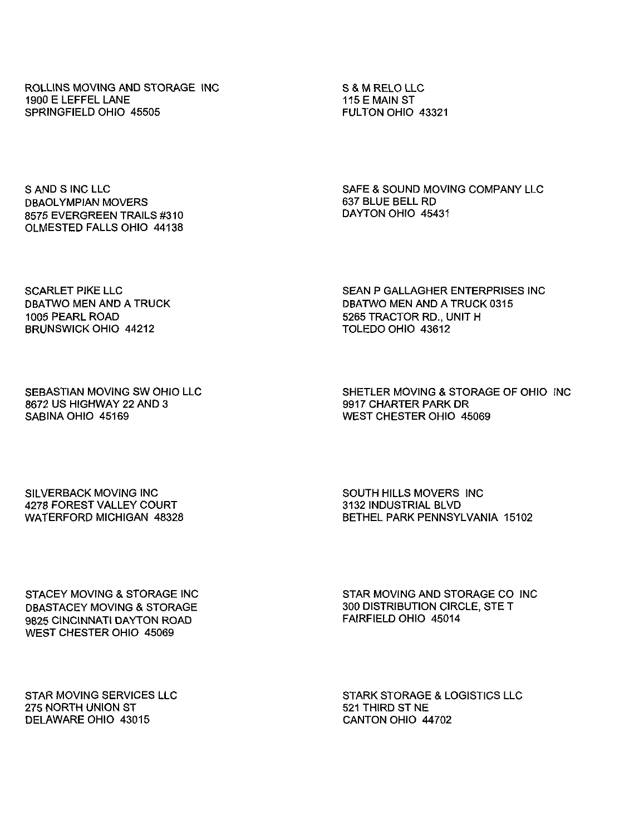ROLLINS MOVING AND STORAGE INC 1900 ELEFFEL LANE SPRINGFIELD OHIO 45505

S & M RELO LLC 115 E MAIN ST FULTON OHIO 43321

S AND S INC LLC DBAOLYMPIAN MOVERS 8575 EVERGREEN TRAILS #310 OLMESTED FALLS OHIO 44138

SAFE & SOUND MOVING COMPANY LLC 637 BLUE BELL RD DAYTON OHIO 45431

SCARLET PIKE LLC DBATWO MEN AND A TRUCK 1006 PEARL ROAD BRUNSWICK OHIO 44212

SEAN P GALLAGHER ENTERPRISES INC DBATWO MEN AND A TRUCK 0315 5265 TRACTOR RD., UNIT H TOLEDO OHIO 43612

SEBASTIAN MOVING SW OHIO LLC 8672 US HIGHWAY 22 AND 3 SABINA OHIO 45169

SHETLER MOVING & STORAGE OF OHIO INC 9917 CHARTER PARK DR WEST CHESTER OHIO 45069

SILVERBACK MOVING INC 4278 FOREST VALLEY COURT WATERFORD MICHIGAN 48328 SOUTH HILLS MOVERS INC 3132 INDUSTRIAL BLVD BETHEL PARK PENNSYLVANIA 15102

STACEY MOVING & STORAGE INC DBASTACEY MOVING & STORAGE 9826 CINCINNATI DAYTON ROAD WEST CHESTER OHIO 45069

STAR MOVING AND STORAGE CO INC 300 DISTRIBUTION CIRCLE, STE T FAIRFIELD OHIO 45014

STAR MOVING SERVICES LLC 275 NORTH UNION ST DELAWARE OHIO 43015

STARK STORAGE & LOGISTICS LLC 521 THIRD ST NE CANTON OHIO 44702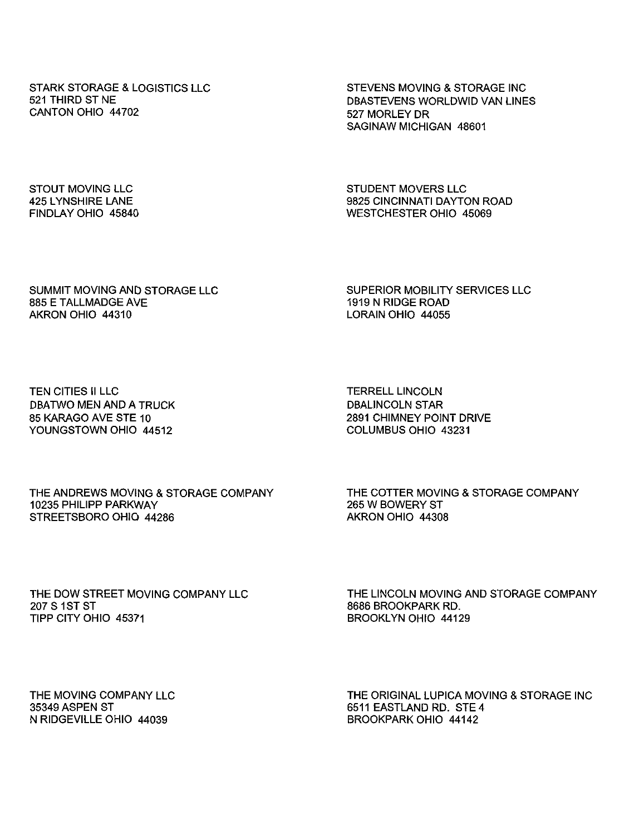STARK STORAGE & LOGISTICS LLC 521 THIRD ST NE CANTON OHIO 44702

STEVENS MOVING & STORAGE INC DBASTEVENS WORLDWID VAN LINES 527 MORLEY DR SAGINAW MICHIGAN 48601

STOUT MOVING LLC 425 LYNSHIRE LANE FINDLAY OHIO 45840 STUDENT MOVERS LLC 9825 CINCINNATI DAYTON ROAD WESTCHESTER OHIO 45069

SUMMIT MOVING AND STORAGE LLC 885 E TALLMADGE AVE AKRON OHIO 44310

SUPERIOR MOBILITY SERVICES LLC 1919 N RIDGE ROAD LORAIN OHIO 44055

TEN CITIES II LLC DBATWO MEN AND A TRUCK 85 KARAGO AVE STE 10 YOUNGSTOWN OHIO 44512

TERRELL LINCOLN DBALINCOLN STAR 2891 CHIMNEY POINT DRIVE COLUMBUS OHIO 43231

THE ANDREWS MOVING & STORAGE COMPANY 10235 PHILIPP PARKWAY STREETSBORO OHIO 44286

THE COTTER MOVING & STORAGE COMPANY 265 W BOWERY ST AKRON OHIO 44308

THE DOW STREET MOVING COMPANY LLC 207 S 1ST ST TIPP CITY OHIO 45371

THE LINCOLN MOVING AND STORAGE COMPANY 8686 BROOKPARK RD. BROOKLYN OHIO 44129

THE MOVING COMPANY LLC 35349 ASPEN ST N RIDGEVILLE OHIO 44039

THE ORIGINAL LUPICA MOVING & STORAGE INC 6511 EASTLAND RD. STE4 BROOKPARK OHIO 44142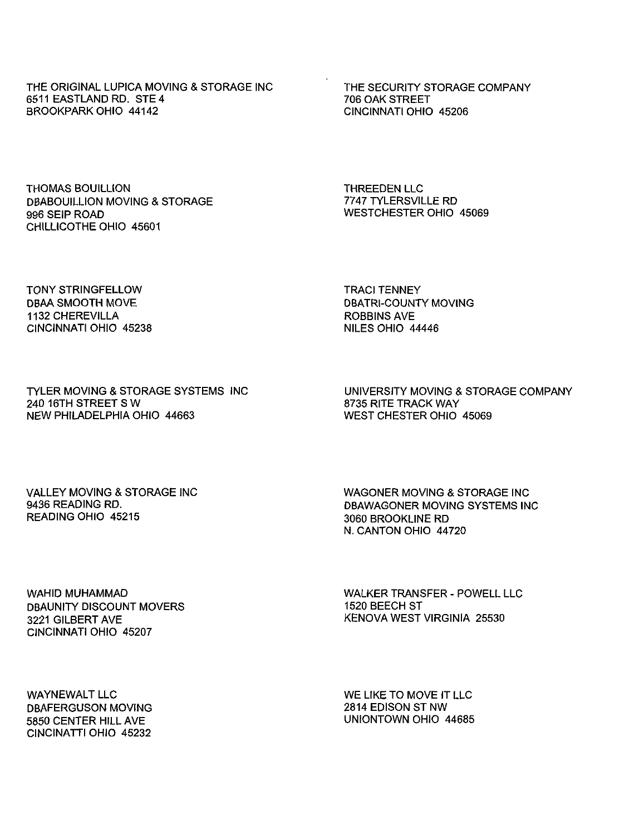the original LUPICA moving & STORAGE INC 6611 EASTLAND RD. STE 4 BROOKPARK OHIO 44142

THE SECURITY STORAGE COMPANY 706 OAK STREET CINCINNATI OHIO 45206

THOMAS BOUILLION DBABOUILLION MOVING & STORAGE 996 SEIP ROAD CHILLICOTHE OHIO 45601

THREEDEN LLC 7747 TYLERSVILLE RD WESTCHESTER OHIO 45069

tony STRINGFELLOW dbaa smooth move 1132 CHEREVILLA CINCINNATI OHIO 45238 TRACI TENNEY DBATRl-COUNTY MOVING ROBBINS AVE NILES OHIO 44446

TYLER MOVING & STORAGE SYSTEMS 240 16TH STREET SW new PHILADELPHIA OHIO 44663

UNIVERSITY MOVING & STORAGE COMPANY 8735 RITE TRACK WAY WEST CHESTER OHIO 45069

VALLEY MOVING & STORAGE INC 9436 READING RD. READING OHIO 45215

WAGONER MOVING & STORAGE INC DBAWAGONER MOVING SYSTEMS INC 3060 BROOKLINE RD N. CANTON OHIO 44720

WAHID MUHAMMAD DBAUNITY DISCOUNT MOVERS 3221 GILBERT AVE CINCINNATI OHIO 45207

WALKER TRANSFER - POWELL LLC 1520 BEECH ST KENOVA WEST VIRGINIA 25530

WAYNEWALT LLC DBAFERGUSON MOVING 5850 CENTER HILL AVE CINCINATTI OHIO 45232

WE LIKE TO MOVE IT LLC 2814 EDISON ST NW UNIONTOWN OHIO 44685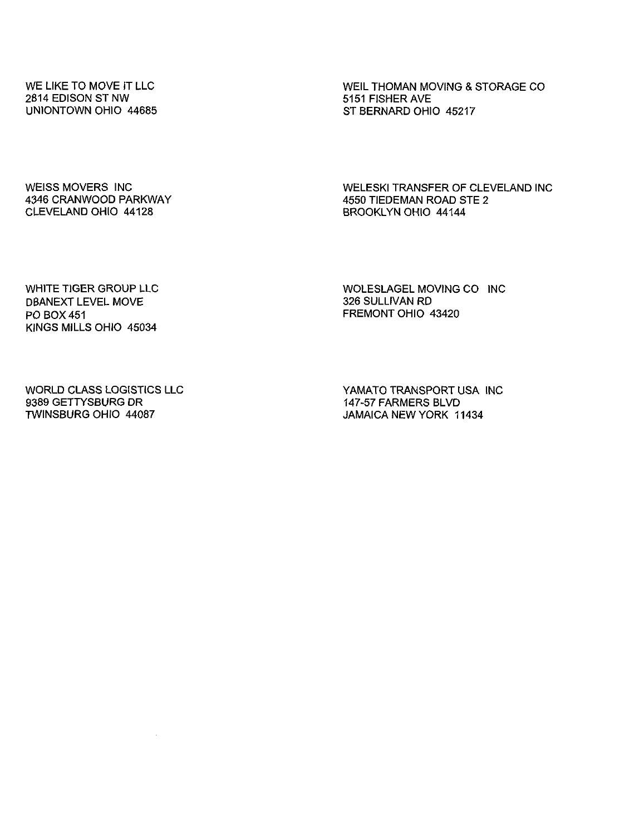WE LIKE TO MOVE IT LLC 2814 EDISON ST NW UNIONTOWN OHIO 44685 WEIL THOMAN MOVING & STORAGE CO 5151 FISHER AVE ST BERNARD OHIO 45217

WEISS MOVERS INC 4346 CRANWOOD PARKWAY CLEVELAND OHIO 44128

WELESKI TRANSFER OF CLEVELAND INC 4550 TIEDEMAN ROAD STE 2 BROOKLYN OHIO 44144

WHITE TIGER GROUP LLC DBANEXT level MOVE PO BOX 451 KINGS MILLS OHIO 45034

WOLESLAGEL MOVING CO INC 326 SULLIVAN RD FREMONT OHIO 43420

WORLD CLASS LOGISTICS LLC 9389 GETTYSBURG DR TWINSBURG OHIO 44087

 $\cdot$ 

YAMATO TRANSPORT USA INC 147-57 FARMERS BLVD JAMAICA NEW YORK 11434